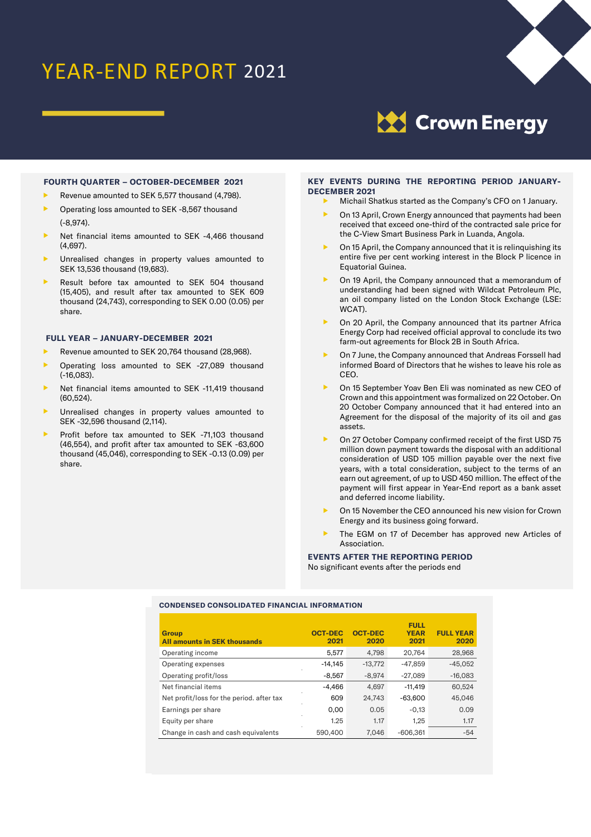# YEAR-END REPORT 2021



**XX** Crown Energy

# **FOURTH QUARTER – OCTOBER-DECEMBER 2021**

- Revenue amounted to SEK 5,577 thousand (4,798).
- Operating loss amounted to SEK -8,567 thousand (-8,974).
- Net financial items amounted to SEK -4,466 thousand (4,697).
- Unrealised changes in property values amounted to SEK 13,536 thousand (19,683).
- Result before tax amounted to SEK 504 thousand (15,405), and result after tax amounted to SEK 609 thousand (24,743), corresponding to SEK 0.00 (0.05) per share.

# **FULL YEAR – JANUARY-DECEMBER 2021**

- Revenue amounted to SEK 20,764 thousand (28,968).
- Operating loss amounted to SEK -27,089 thousand (-16,083).
- Net financial items amounted to SEK -11,419 thousand (60,524).
- Unrealised changes in property values amounted to SEK -32,596 thousand (2,114).
- Profit before tax amounted to SEK -71,103 thousand (46,554), and profit after tax amounted to SEK -63,600 thousand (45,046), corresponding to SEK -0.13 (0.09) per share.

# **KEY EVENTS DURING THE REPORTING PERIOD JANUARY-DECEMBER 2021**

- Michail Shatkus started as the Company's CFO on 1 January.
- On 13 April, Crown Energy announced that payments had been received that exceed one-third of the contracted sale price for the C-View Smart Business Park in Luanda, Angola.
- On 15 April, the Company announced that it is relinquishing its entire five per cent working interest in the Block P licence in Equatorial Guinea.
- On 19 April, the Company announced that a memorandum of understanding had been signed with Wildcat Petroleum Plc, an oil company listed on the London Stock Exchange (LSE: WCAT).
- On 20 April, the Company announced that its partner Africa Energy Corp had received official approval to conclude its two farm-out agreements for Block 2B in South Africa.
- On 7 June, the Company announced that Andreas Forssell had informed Board of Directors that he wishes to leave his role as CEO.
- On 15 September Yoav Ben Eli was nominated as new CEO of Crown and this appointment was formalized on 22 October. On 20 October Company announced that it had entered into an Agreement for the disposal of the majority of its oil and gas assets.
- On 27 October Company confirmed receipt of the first USD 75 million down payment towards the disposal with an additional consideration of USD 105 million payable over the next five years, with a total consideration, subject to the terms of an earn out agreement, of up to USD 450 million. The effect of the payment will first appear in Year-End report as a bank asset and deferred income liability.
- On 15 November the CEO announced his new vision for Crown Energy and its business going forward.
- The EGM on 17 of December has approved new Articles of Association.

# **EVENTS AFTER THE REPORTING PERIOD**  No significant events after the periods end

# **CONDENSED CONSOLIDATED FINANCIAL INFORMATION**

| <b>Group</b><br><b>All amounts in SEK thousands</b> | <b>OCT-DEC</b><br>2021 | <b>OCT-DEC</b><br>2020 | <b>FULL</b><br><b>YEAR</b><br>2021 | <b>FULL YEAR</b><br>2020 |
|-----------------------------------------------------|------------------------|------------------------|------------------------------------|--------------------------|
| Operating income                                    | 5,577                  | 4.798                  | 20.764                             | 28,968                   |
| Operating expenses                                  | $-14,145$              | $-13.772$              | $-47.859$                          | $-45,052$                |
| Operating profit/loss                               | $-8.567$               | $-8.974$               | $-27.089$                          | $-16,083$                |
| Net financial items                                 | $-4.466$               | 4.697                  | $-11.419$                          | 60.524                   |
| Net profit/loss for the period, after tax           | 609                    | 24.743                 | $-63,600$                          | 45,046                   |
| Earnings per share                                  | 0.00                   | 0.05                   | $-0,13$                            | 0.09                     |
| Equity per share                                    | 1.25                   | 1.17                   | 1.25                               | 1.17                     |
| Change in cash and cash equivalents                 | 590,400                | 7.046                  | $-606.361$                         | $-54$                    |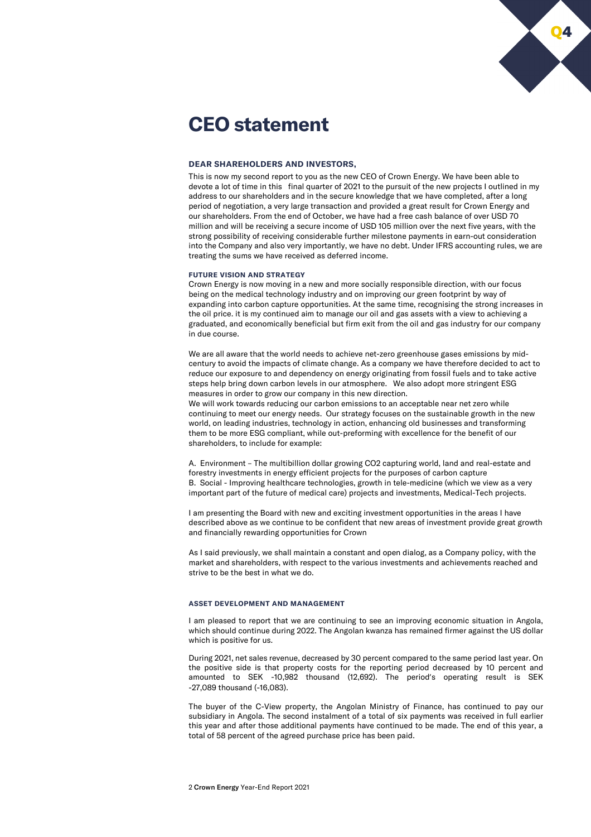

# **CEO statement**

## **DEAR SHAREHOLDERS AND INVESTORS,**

This is now my second report to you as the new CEO of Crown Energy. We have been able to devote a lot of time in this final quarter of 2021 to the pursuit of the new projects I outlined in my address to our shareholders and in the secure knowledge that we have completed, after a long period of negotiation, a very large transaction and provided a great result for Crown Energy and our shareholders. From the end of October, we have had a free cash balance of over USD 70 million and will be receiving a secure income of USD 105 million over the next five years, with the strong possibility of receiving considerable further milestone payments in earn-out consideration into the Company and also very importantly, we have no debt. Under IFRS accounting rules, we are treating the sums we have received as deferred income.

#### **FUTURE VISION AND STRATEGY**

Crown Energy is now moving in a new and more socially responsible direction, with our focus being on the medical technology industry and on improving our green footprint by way of expanding into carbon capture opportunities. At the same time, recognising the strong increases in the oil price. it is my continued aim to manage our oil and gas assets with a view to achieving a graduated, and economically beneficial but firm exit from the oil and gas industry for our company in due course.

We are all aware that the world needs to achieve net-zero greenhouse gases emissions by midcentury to avoid the impacts of climate change. As a company we have therefore decided to act to reduce our exposure to and dependency on energy originating from fossil fuels and to take active steps help bring down carbon levels in our atmosphere. We also adopt more stringent ESG measures in order to grow our company in this new direction.

We will work towards reducing our carbon emissions to an acceptable near net zero while continuing to meet our energy needs. Our strategy focuses on the sustainable growth in the new world, on leading industries, technology in action, enhancing old businesses and transforming them to be more ESG compliant, while out-preforming with excellence for the benefit of our shareholders, to include for example:

A. Environment – The multibillion dollar growing CO2 capturing world, land and real-estate and forestry investments in energy efficient projects for the purposes of carbon capture B. Social - Improving healthcare technologies, growth in tele-medicine (which we view as a very important part of the future of medical care) projects and investments, Medical-Tech projects.

I am presenting the Board with new and exciting investment opportunities in the areas I have described above as we continue to be confident that new areas of investment provide great growth and financially rewarding opportunities for Crown

As I said previously, we shall maintain a constant and open dialog, as a Company policy, with the market and shareholders, with respect to the various investments and achievements reached and strive to be the best in what we do.

## **ASSET DEVELOPMENT AND MANAGEMENT**

I am pleased to report that we are continuing to see an improving economic situation in Angola, which should continue during 2022. The Angolan kwanza has remained firmer against the US dollar which is positive for us.

During 2021, net sales revenue, decreased by 30 percent compared to the same period last year. On the positive side is that property costs for the reporting period decreased by 10 percent and amounted to SEK -10,982 thousand (12,692). The period's operating result is SEK -27,089 thousand (-16,083).

The buyer of the C-View property, the Angolan Ministry of Finance, has continued to pay our subsidiary in Angola. The second instalment of a total of six payments was received in full earlier this year and after those additional payments have continued to be made. The end of this year, a total of 58 percent of the agreed purchase price has been paid.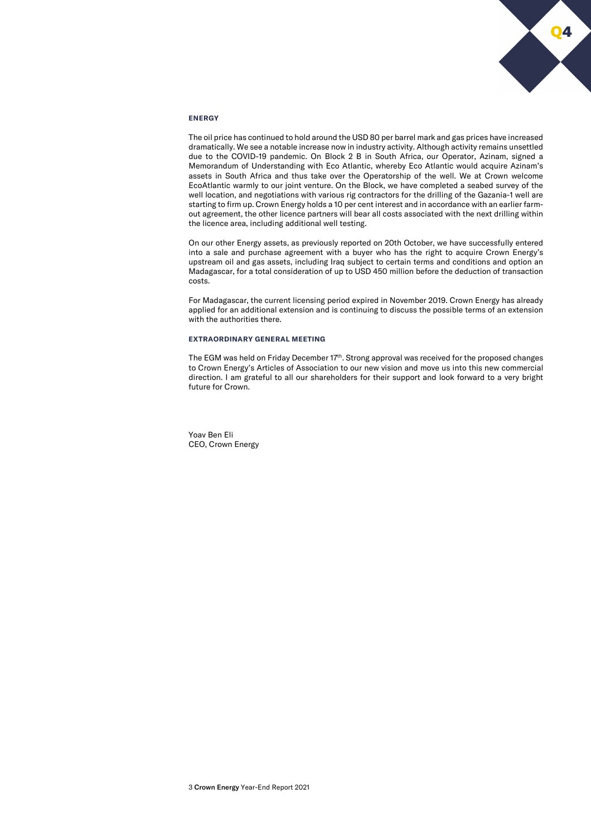

# **ENERGY**

The oil price has continued to hold around the USD 80 per barrel mark and gas prices have increased dramatically. We see a notable increase now in industry activity. Although activity remains unsettled due to the COVID-19 pandemic. On Block 2 B in South Africa, our Operator, Azinam, signed a Memorandum of Understanding with Eco Atlantic, whereby Eco Atlantic would acquire Azinam's assets in South Africa and thus take over the Operatorship of the well. We at Crown welcome EcoAtlantic warmly to our joint venture. On the Block, we have completed a seabed survey of the well location, and negotiations with various rig contractors for the drilling of the Gazania-1 well are starting to firm up. Crown Energy holds a 10 per cent interest and in accordance with an earlier farmout agreement, the other licence partners will bear all costs associated with the next drilling within the licence area, including additional well testing.

On our other Energy assets, as previously reported on 20th October, we have successfully entered into a sale and purchase agreement with a buyer who has the right to acquire Crown Energy's upstream oil and gas assets, including Iraq subject to certain terms and conditions and option an Madagascar, for a total consideration of up to USD 450 million before the deduction of transaction costs.

For Madagascar, the current licensing period expired in November 2019. Crown Energy has already applied for an additional extension and is continuing to discuss the possible terms of an extension with the authorities there.

# **EXTRAORDINARY GENERAL MEETING**

The EGM was held on Friday December 17th. Strong approval was received for the proposed changes to Crown Energy's Articles of Association to our new vision and move us into this new commercial direction. I am grateful to all our shareholders for their support and look forward to a very bright future for Crown.

Yoav Ben Eli CEO, Crown Energy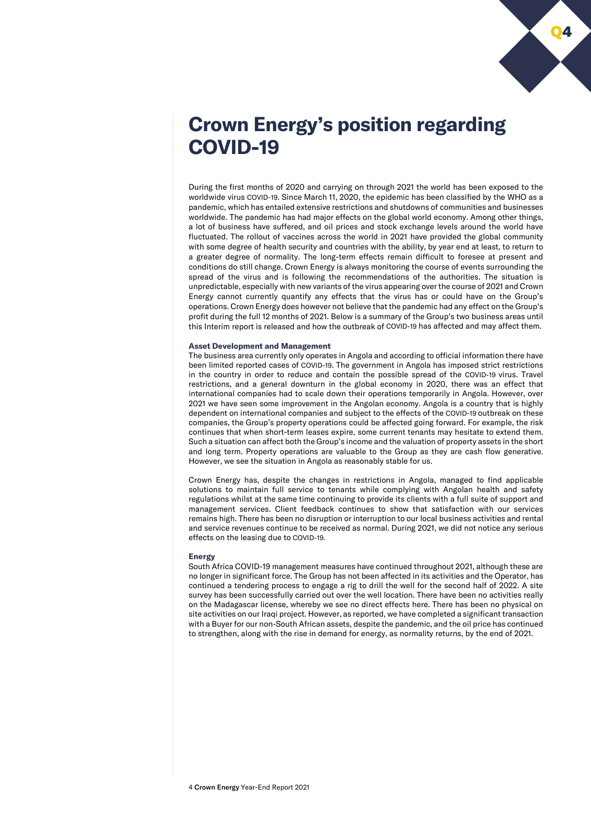

# **Crown Energy's position regarding COVID-19**

During the first months of 2020 and carrying on through 2021 the world has been exposed to the worldwide virus COVID-19. Since March 11, 2020, the epidemic has been classified by the WHO as a pandemic, which has entailed extensive restrictions and shutdowns of communities and businesses worldwide. The pandemic has had major effects on the global world economy. Among other things, a lot of business have suffered, and oil prices and stock exchange levels around the world have fluctuated. The rollout of vaccines across the world in 2021 have provided the global community with some degree of health security and countries with the ability, by year end at least, to return to a greater degree of normality. The long-term effects remain difficult to foresee at present and conditions do still change. Crown Energy is always monitoring the course of events surrounding the spread of the virus and is following the recommendations of the authorities. The situation is unpredictable, especially with new variants of the virus appearing over the course of 2021 and Crown Energy cannot currently quantify any effects that the virus has or could have on the Group's operations. Crown Energy does however not believe that the pandemic had any effect on the Group's profit during the full 12 months of 2021. Below is a summary of the Group's two business areas until this Interim report is released and how the outbreak of COVID-19 has affected and may affect them.

# **Asset Development and Management**

The business area currently only operates in Angola and according to official information there have been limited reported cases of COVID-19. The government in Angola has imposed strict restrictions in the country in order to reduce and contain the possible spread of the COVID-19 virus. Travel restrictions, and a general downturn in the global economy in 2020, there was an effect that international companies had to scale down their operations temporarily in Angola. However, over 2021 we have seen some improvement in the Angolan economy. Angola is a country that is highly dependent on international companies and subject to the effects of the COVID-19 outbreak on these companies, the Group's property operations could be affected going forward. For example, the risk continues that when short-term leases expire, some current tenants may hesitate to extend them. Such a situation can affect both the Group's income and the valuation of property assets in the short and long term. Property operations are valuable to the Group as they are cash flow generative. However, we see the situation in Angola as reasonably stable for us.

Crown Energy has, despite the changes in restrictions in Angola, managed to find applicable solutions to maintain full service to tenants while complying with Angolan health and safety regulations whilst at the same time continuing to provide its clients with a full suite of support and management services. Client feedback continues to show that satisfaction with our services remains high. There has been no disruption or interruption to our local business activities and rental and service revenues continue to be received as normal. During 2021, we did not notice any serious effects on the leasing due to COVID-19.

#### **Energy**

South Africa COVID-19 management measures have continued throughout 2021, although these are no longer in significant force. The Group has not been affected in its activities and the Operator, has continued a tendering process to engage a rig to drill the well for the second half of 2022. A site survey has been successfully carried out over the well location. There have been no activities really on the Madagascar license, whereby we see no direct effects here. There has been no physical on site activities on our Iraqi project. However, as reported, we have completed a significant transaction with a Buyer for our non-South African assets, despite the pandemic, and the oil price has continued to strengthen, along with the rise in demand for energy, as normality returns, by the end of 2021.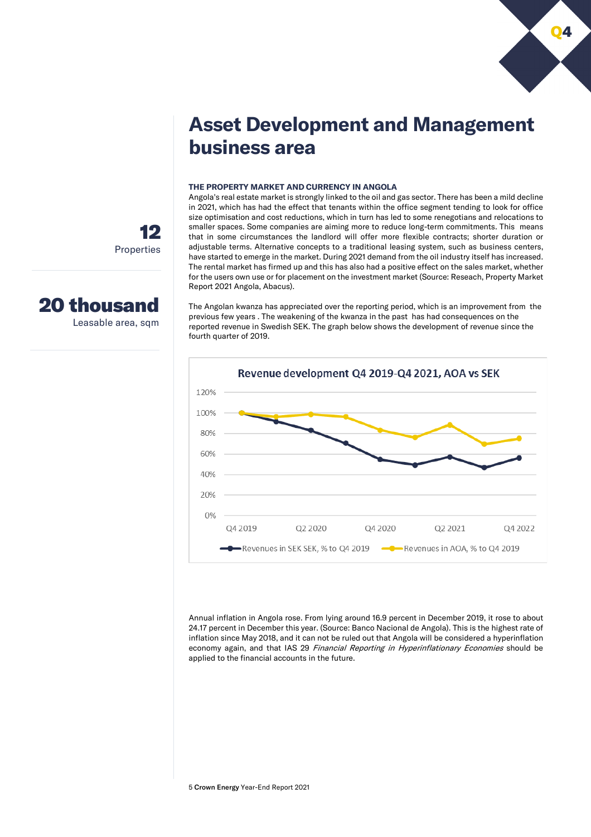

# **Asset Development and Management business area**

# **THE PROPERTY MARKET AND CURRENCY IN ANGOLA**

Angola's real estate market is strongly linked to the oil and gas sector. There has been a mild decline in 2021, which has had the effect that tenants within the office segment tending to look for office size optimisation and cost reductions, which in turn has led to some renegotians and relocations to smaller spaces. Some companies are aiming more to reduce long-term commitments. This means that in some circumstances the landlord will offer more flexible contracts; shorter duration or adjustable terms. Alternative concepts to a traditional leasing system, such as business centers, have started to emerge in the market. During 2021 demand from the oil industry itself has increased. The rental market has firmed up and this has also had a positive effect on the sales market, whether for the users own use or for placement on the investment market (Source: Reseach, Property Market Report 2021 Angola, Abacus).

The Angolan kwanza has appreciated over the reporting period, which is an improvement from the previous few years . The weakening of the kwanza in the past has had consequences on the reported revenue in Swedish SEK. The graph below shows the development of revenue since the fourth quarter of 2019.



Annual inflation in Angola rose. From lying around 16.9 percent in December 2019, it rose to about 24.17 percent in December this year. (Source: Banco Nacional de Angola). This is the highest rate of inflation since May 2018, and it can not be ruled out that Angola will be considered a hyperinflation economy again, and that IAS 29 Financial Reporting in Hyperinflationary Economies should be applied to the financial accounts in the future.

12 Properties

# 20 thousand

Leasable area, sqm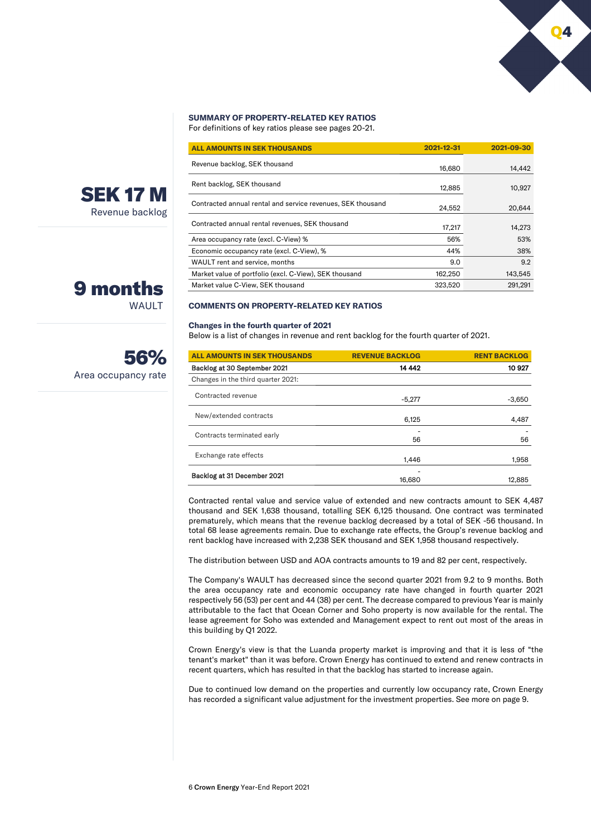# **SUMMARY OF PROPERTY-RELATED KEY RATIOS**

For definitions of key ratios please see pages 20-21.

| <b>ALL AMOUNTS IN SEK THOUSANDS</b>                         | 2021-12-31 | 2021-09-30 |
|-------------------------------------------------------------|------------|------------|
| Revenue backlog, SEK thousand                               | 16,680     | 14,442     |
| Rent backlog, SEK thousand                                  | 12.885     | 10,927     |
| Contracted annual rental and service revenues, SEK thousand | 24.552     | 20,644     |
| Contracted annual rental revenues, SEK thousand             | 17,217     | 14.273     |
| Area occupancy rate (excl. C-View) %                        | 56%        | 53%        |
| Economic occupancy rate (excl. C-View), %                   | 44%        | 38%        |
| WAULT rent and service, months                              | 9.0        | 9.2        |
| Market value of portfolio (excl. C-View), SEK thousand      | 162,250    | 143,545    |
| Market value C-View, SEK thousand                           | 323,520    | 291.291    |

## **COMMENTS ON PROPERTY-RELATED KEY RATIOS**

#### **Changes in the fourth quarter of 2021**

Below is a list of changes in revenue and rent backlog for the fourth quarter of 2021.

| <b>ALL AMOUNTS IN SEK THOUSANDS</b> | <b>REVENUE BACKLOG</b> | <b>RENT BACKLOG</b> |
|-------------------------------------|------------------------|---------------------|
| Backlog at 30 September 2021        | 14 442                 | 10927               |
| Changes in the third quarter 2021:  |                        |                     |
| Contracted revenue                  | $-5.277$               | $-3,650$            |
| New/extended contracts              | 6.125                  | 4,487               |
| Contracts terminated early          | 56                     | 56                  |
| Exchange rate effects               | 1.446                  | 1,958               |
| Backlog at 31 December 2021         | 16.680                 | 12.885              |

Contracted rental value and service value of extended and new contracts amount to SEK 4,487 thousand and SEK 1,638 thousand, totalling SEK 6,125 thousand. One contract was terminated prematurely, which means that the revenue backlog decreased by a total of SEK -56 thousand. In total 68 lease agreements remain. Due to exchange rate effects, the Group's revenue backlog and rent backlog have increased with 2,238 SEK thousand and SEK 1,958 thousand respectively.

The distribution between USD and AOA contracts amounts to 19 and 82 per cent, respectively.

The Company's WAULT has decreased since the second quarter 2021 from 9.2 to 9 months. Both the area occupancy rate and economic occupancy rate have changed in fourth quarter 2021 respectively 56 (53) per cent and 44 (38) per cent. The decrease compared to previous Year is mainly attributable to the fact that Ocean Corner and Soho property is now available for the rental. The lease agreement for Soho was extended and Management expect to rent out most of the areas in this building by Q1 2022.

Crown Energy's view is that the Luanda property market is improving and that it is less of "the tenant's market" than it was before. Crown Energy has continued to extend and renew contracts in recent quarters, which has resulted in that the backlog has started to increase again.

Due to continued low demand on the properties and currently low occupancy rate, Crown Energy has recorded a significant value adjustment for the investment properties. See more on page 9.



SEK 17 M Revenue backlog

# 9 months WAUI T

Area occupancy rate

56%

Q4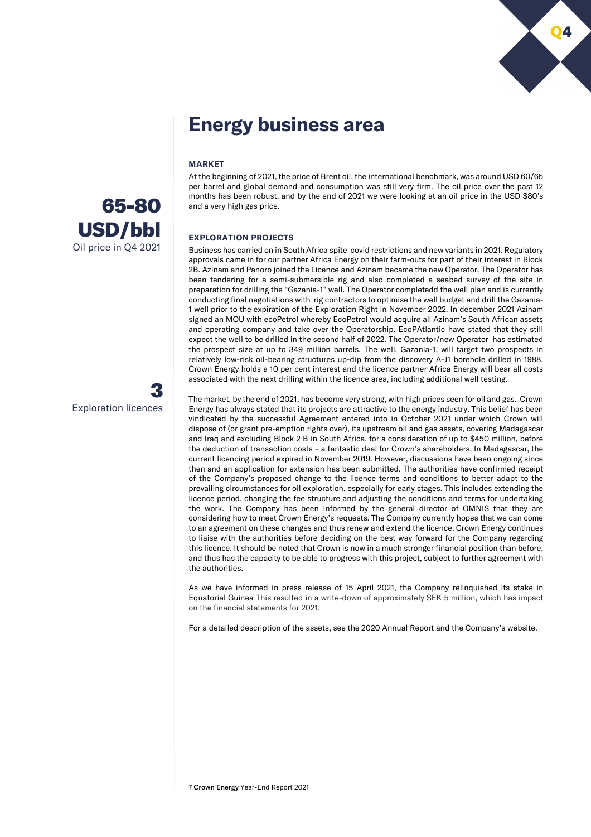

# **Energy business area**

# **MARKET**

At the beginning of 2021, the price of Brent oil, the international benchmark, was around USD 60/65 per barrel and global demand and consumption was still very firm. The oil price over the past 12 months has been robust, and by the end of 2021 we were looking at an oil price in the USD \$80's and a very high gas price.

# **EXPLORATION PROJECTS**

Business has carried on in South Africa spite covid restrictions and new variants in 2021. Regulatory approvals came in for our partner Africa Energy on their farm-outs for part of their interest in Block 2B. Azinam and Panoro joined the Licence and Azinam became the new Operator. The Operator has been tendering for a semi-submersible rig and also completed a seabed survey of the site in preparation for drilling the "Gazania-1" well. The Operator completedd the well plan and is currently conducting final negotiations with rig contractors to optimise the well budget and drill the Gazania-1 well prior to the expiration of the Exploration Right in November 2022. In december 2021 Azinam signed an MOU with ecoPetrol whereby EcoPetrol would acquire all Azinam's South African assets and operating company and take over the Operatorship. EcoPAtlantic have stated that they still expect the well to be drilled in the second half of 2022. The Operator/new Operator has estimated the prospect size at up to 349 million barrels. The well, Gazania-1, will target two prospects in relatively low-risk oil-bearing structures up-dip from the discovery A-J1 borehole drilled in 1988. Crown Energy holds a 10 per cent interest and the licence partner Africa Energy will bear all costs associated with the next drilling within the licence area, including additional well testing.

The market, by the end of 2021, has become very strong, with high prices seen for oil and gas. Crown Energy has always stated that its projects are attractive to the energy industry. This belief has been vindicated by the successful Agreement entered into in October 2021 under which Crown will dispose of (or grant pre-emption rights over), its upstream oil and gas assets, covering Madagascar and Iraq and excluding Block 2 B in South Africa, for a consideration of up to \$450 million, before the deduction of transaction costs – a fantastic deal for Crown's shareholders. In Madagascar, the current licencing period expired in November 2019. However, discussions have been ongoing since then and an application for extension has been submitted. The authorities have confirmed receipt of the Company's proposed change to the licence terms and conditions to better adapt to the prevailing circumstances for oil exploration, especially for early stages. This includes extending the licence period, changing the fee structure and adjusting the conditions and terms for undertaking the work. The Company has been informed by the general director of OMNIS that they are considering how to meet Crown Energy's requests. The Company currently hopes that we can come to an agreement on these changes and thus renew and extend the licence. Crown Energy continues to liaise with the authorities before deciding on the best way forward for the Company regarding this licence. It should be noted that Crown is now in a much stronger financial position than before, and thus has the capacity to be able to progress with this project, subject to further agreement with the authorities.

As we have informed in press release of 15 April 2021, the Company relinquished its stake in Equatorial Guinea This resulted in a write-down of approximately SEK 5 million, which has impact on the financial statements for 2021.

For a detailed description of the assets, see the 2020 Annual Report and the Company's website.



3 Exploration licences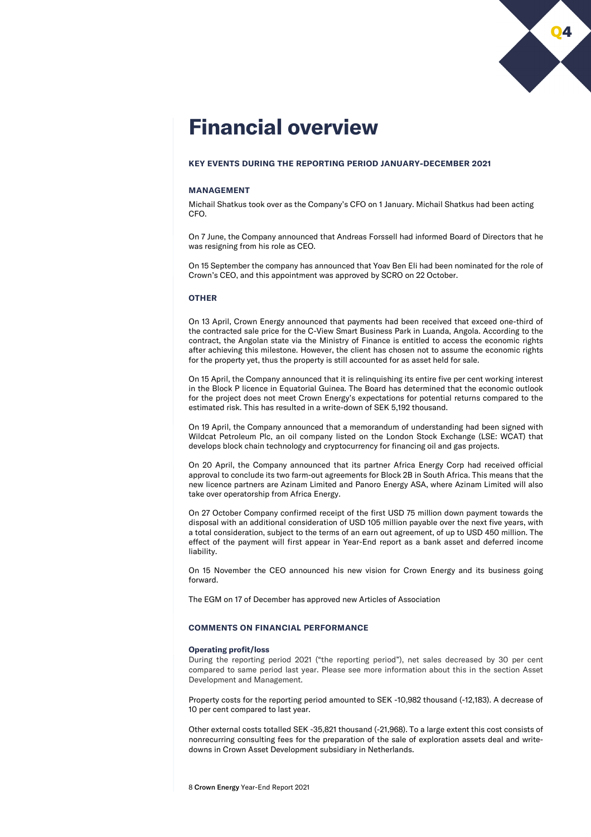

# **Financial overview**

# **KEY EVENTS DURING THE REPORTING PERIOD JANUARY-DECEMBER 2021**

# **MANAGEMENT**

Michail Shatkus took over as the Company's CFO on 1 January. Michail Shatkus had been acting CFO.

On 7 June, the Company announced that Andreas Forssell had informed Board of Directors that he was resigning from his role as CEO.

On 15 September the company has announced that Yoav Ben Eli had been nominated for the role of Crown's CEO, and this appointment was approved by SCRO on 22 October.

# **OTHER**

On 13 April, Crown Energy announced that payments had been received that exceed one-third of the contracted sale price for the C-View Smart Business Park in Luanda, Angola. According to the contract, the Angolan state via the Ministry of Finance is entitled to access the economic rights after achieving this milestone. However, the client has chosen not to assume the economic rights for the property yet, thus the property is still accounted for as asset held for sale.

On 15 April, the Company announced that it is relinquishing its entire five per cent working interest in the Block P licence in Equatorial Guinea. The Board has determined that the economic outlook for the project does not meet Crown Energy's expectations for potential returns compared to the estimated risk. This has resulted in a write-down of SEK 5,192 thousand.

On 19 April, the Company announced that a memorandum of understanding had been signed with Wildcat Petroleum Plc, an oil company listed on the London Stock Exchange (LSE: WCAT) that develops block chain technology and cryptocurrency for financing oil and gas projects.

On 20 April, the Company announced that its partner Africa Energy Corp had received official approval to conclude its two farm-out agreements for Block 2B in South Africa. This means that the new licence partners are Azinam Limited and Panoro Energy ASA, where Azinam Limited will also take over operatorship from Africa Energy.

On 27 October Company confirmed receipt of the first USD 75 million down payment towards the disposal with an additional consideration of USD 105 million payable over the next five years, with a total consideration, subject to the terms of an earn out agreement, of up to USD 450 million. The effect of the payment will first appear in Year-End report as a bank asset and deferred income liability.

On 15 November the CEO announced his new vision for Crown Energy and its business going forward.

The EGM on 17 of December has approved new Articles of Association

# **COMMENTS ON FINANCIAL PERFORMANCE**

#### **Operating profit/loss**

During the reporting period 2021 ("the reporting period"), net sales decreased by 30 per cent compared to same period last year. Please see more information about this in the section Asset Development and Management.

Property costs for the reporting period amounted to SEK -10,982 thousand (-12,183). A decrease of 10 per cent compared to last year.

Other external costs totalled SEK -35,821 thousand (-21,968). To a large extent this cost consists of nonrecurring consulting fees for the preparation of the sale of exploration assets deal and writedowns in Crown Asset Development subsidiary in Netherlands.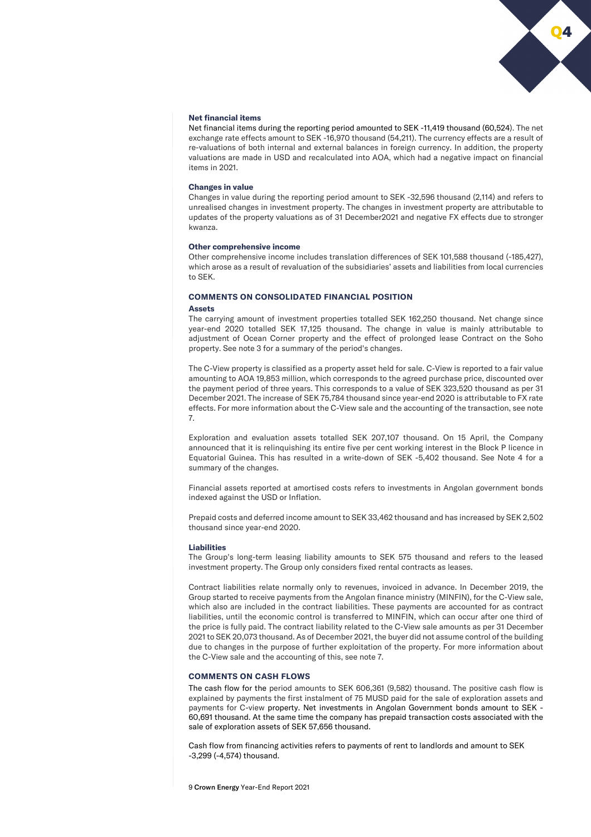# Q4

# **Net financial items**

Net financial items during the reporting period amounted to SEK -11,419 thousand (60,524). The net exchange rate effects amount to SEK -16,970 thousand (54,211). The currency effects are a result of re-valuations of both internal and external balances in foreign currency. In addition, the property valuations are made in USD and recalculated into AOA, which had a negative impact on financial items in 2021.

#### **Changes in value**

Changes in value during the reporting period amount to SEK -32,596 thousand (2,114) and refers to unrealised changes in investment property. The changes in investment property are attributable to updates of the property valuations as of 31 December2021 and negative FX effects due to stronger kwanza.

#### **Other comprehensive income**

Other comprehensive income includes translation differences of SEK 101,588 thousand (-185,427), which arose as a result of revaluation of the subsidiaries' assets and liabilities from local currencies to SEK.

# **COMMENTS ON CONSOLIDATED FINANCIAL POSITION**

#### **Assets**

The carrying amount of investment properties totalled SEK 162,250 thousand. Net change since year-end 2020 totalled SEK 17,125 thousand. The change in value is mainly attributable to adjustment of Ocean Corner property and the effect of prolonged lease Contract on the Soho property. See note 3 for a summary of the period's changes.

The C-View property is classified as a property asset held for sale. C-View is reported to a fair value amounting to AOA 19,853 million, which corresponds to the agreed purchase price, discounted over the payment period of three years. This corresponds to a value of SEK 323,520 thousand as per 31 December 2021. The increase of SEK 75,784 thousand since year-end 2020 is attributable to FX rate effects. For more information about the C-View sale and the accounting of the transaction, see note 7.

Exploration and evaluation assets totalled SEK 207,107 thousand. On 15 April, the Company announced that it is relinquishing its entire five per cent working interest in the Block P licence in Equatorial Guinea. This has resulted in a write-down of SEK -5,402 thousand. See Note 4 for a summary of the changes.

Financial assets reported at amortised costs refers to investments in Angolan government bonds indexed against the USD or Inflation.

Prepaid costs and deferred income amount to SEK 33,462 thousand and has increased by SEK 2,502 thousand since year-end 2020.

#### **Liabilities**

The Group's long-term leasing liability amounts to SEK 575 thousand and refers to the leased investment property. The Group only considers fixed rental contracts as leases.

Contract liabilities relate normally only to revenues, invoiced in advance. In December 2019, the Group started to receive payments from the Angolan finance ministry (MINFIN), for the C-View sale, which also are included in the contract liabilities. These payments are accounted for as contract liabilities, until the economic control is transferred to MINFIN, which can occur after one third of the price is fully paid. The contract liability related to the C-View sale amounts as per 31 December 2021to SEK 20,073 thousand. As of December 2021, the buyer did not assume control of the building due to changes in the purpose of further exploitation of the property. For more information about the C-View sale and the accounting of this, see note 7.

#### **COMMENTS ON CASH FLOWS**

The cash flow for the period amounts to SEK 606,361 (9,582) thousand. The positive cash flow is explained by payments the first instalment of 75 MUSD paid for the sale of exploration assets and payments for C-view property. Net investments in Angolan Government bonds amount to SEK - 60,691 thousand. At the same time the company has prepaid transaction costs associated with the sale of exploration assets of SEK 57,656 thousand.

Cash flow from financing activities refers to payments of rent to landlords and amount to SEK -3,299 (-4,574) thousand.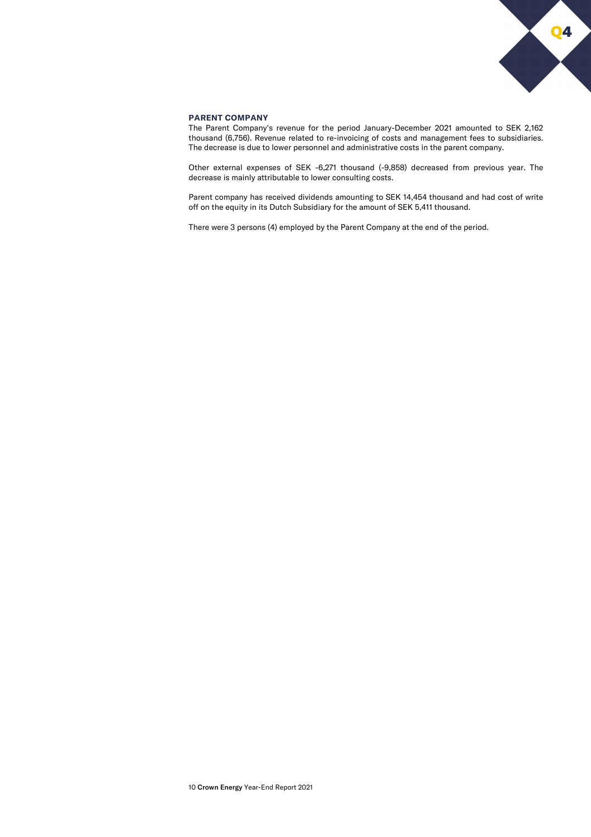

# **PARENT COMPANY**

The Parent Company's revenue for the period January-December 2021 amounted to SEK 2,162 thousand (6,756). Revenue related to re-invoicing of costs and management fees to subsidiaries. The decrease is due to lower personnel and administrative costs in the parent company.

Other external expenses of SEK -6,271 thousand (-9,858) decreased from previous year. The decrease is mainly attributable to lower consulting costs.

Parent company has received dividends amounting to SEK 14,454 thousand and had cost of write off on the equity in its Dutch Subsidiary for the amount of SEK 5,411 thousand.

There were 3 persons (4) employed by the Parent Company at the end of the period.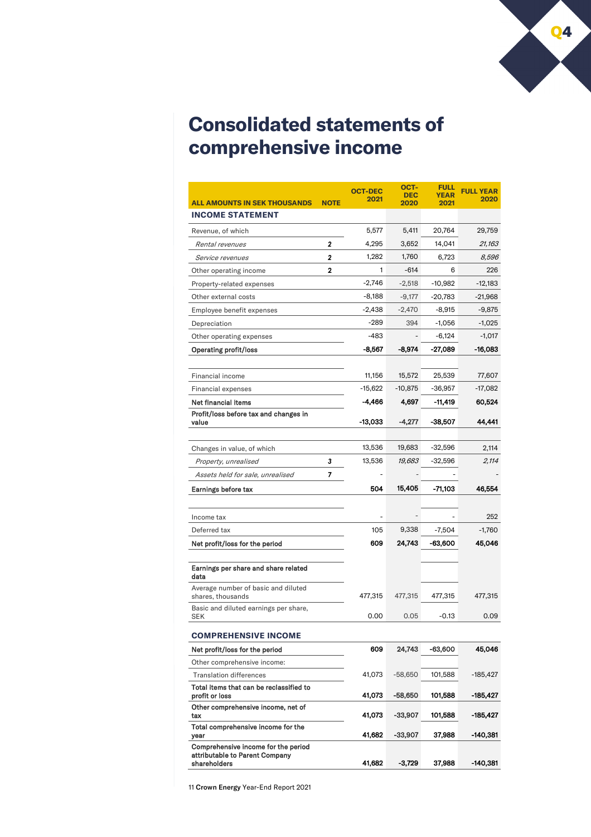

# **Consolidated statements of comprehensive income**

|                                                           |              | <b>OCT-DEC</b> | ост-<br><b>DEC</b>       | FULL<br><b>YEAR</b> | <b>FULL YEAR</b><br>2020 |
|-----------------------------------------------------------|--------------|----------------|--------------------------|---------------------|--------------------------|
| <b>ALL AMOUNTS IN SEK THOUSANDS</b>                       | <b>NOTE</b>  | 2021           | 2020                     | 2021                |                          |
| <b>INCOME STATEMENT</b>                                   |              |                |                          |                     |                          |
| Revenue, of which                                         |              | 5,577          | 5,411                    | 20,764              | 29,759                   |
| Rental revenues                                           | 2            | 4,295          | 3,652                    | 14,041              | 21,163                   |
| Service revenues                                          | $\mathbf{2}$ | 1,282          | 1,760                    | 6,723               | 8,596                    |
| Other operating income                                    | $\mathbf{2}$ | 1              | $-614$                   | 6                   | 226                      |
| Property-related expenses                                 |              | $-2,746$       | $-2,518$                 | -10,982             | $-12,183$                |
| Other external costs                                      |              | $-8,188$       | $-9,177$                 | $-20,783$           | $-21,968$                |
| Employee benefit expenses                                 |              | $-2,438$       | $-2,470$                 | $-8,915$            | $-9,875$                 |
| Depreciation                                              |              | -289           | 394                      | $-1,056$            | -1,025                   |
| Other operating expenses                                  |              | $-483$         |                          | $-6,124$            | $-1,017$                 |
| <b>Operating profit/loss</b>                              |              | $-8,567$       | -8,974                   | -27,089             | -16,083                  |
| Financial income                                          |              | 11,156         | 15,572                   | 25,539              | 77,607                   |
| <b>Financial expenses</b>                                 |              | -15,622        | $-10,875$                | $-36,957$           | -17,082                  |
| Net financial items                                       |              | -4,466         | 4,697                    | -11,419             | 60,524                   |
| Profit/loss before tax and changes in                     |              |                |                          |                     |                          |
| value                                                     |              | -13,033        | $-4,277$                 | -38,507             | 44,441                   |
| Changes in value, of which                                |              | 13,536         | 19,683                   | -32,596             | 2,114                    |
| Property, unrealised                                      | 3            | 13,536         | 19,683                   | -32,596             | 2,114                    |
| Assets held for sale, unrealised                          | 7            | $\overline{a}$ | $\overline{\phantom{a}}$ |                     |                          |
| Earnings before tax                                       |              | 504            | 15,405                   | -71,103             | 46,554                   |
|                                                           |              |                |                          |                     |                          |
| Income tax                                                |              |                |                          |                     | 252                      |
| Deferred tax                                              |              | 105            | 9,338                    | $-7,504$            | $-1,760$                 |
| Net profit/loss for the period                            |              | 609            | 24,743                   | -63,600             | 45,046                   |
|                                                           |              |                |                          |                     |                          |
| Earnings per share and share related<br>data              |              |                |                          |                     |                          |
| Average number of basic and diluted<br>shares, thousands  |              | 477,315        | 477,315                  | 477,315             | 477,315                  |
| Basic and diluted earnings per share,<br>SEK              |              | 0.00           | 0.05                     | $-0.13$             | 0.09                     |
| <b>COMPREHENSIVE INCOME</b>                               |              |                |                          |                     |                          |
| Net profit/loss for the period                            |              | 609            | 24,743                   | -63,600             | 45,046                   |
| Other comprehensive income:                               |              |                |                          |                     |                          |
| <b>Translation differences</b>                            |              | 41,073         | $-58,650$                | 101,588             | -185,427                 |
| Total items that can be reclassified to<br>profit or loss |              | 41,073         | -58,650                  | 101,588             | -185,427                 |
| Other comprehensive income, net of<br>tax                 |              | 41,073         | -33,907                  | 101,588             | -185,427                 |
| Total comprehensive income for the<br>year                |              | 41,682         | -33,907                  | 37,988              | -140,381                 |
| Comprehensive income for the period                       |              |                |                          |                     |                          |
| attributable to Parent Company<br>shareholders            |              | 41,682         | -3,729                   | 37,988              | -140,381                 |
|                                                           |              |                |                          |                     |                          |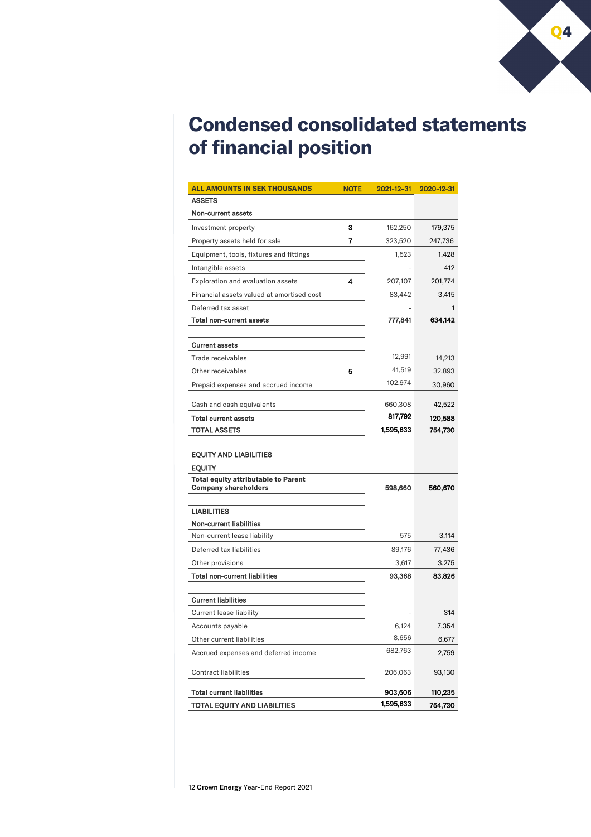

# **Condensed consolidated statements of financial position**

| <b>ALL AMOUNTS IN SEK THOUSANDS</b>                                | <b>NOTE</b> | 2021-12-31 | 2020-12-31 |
|--------------------------------------------------------------------|-------------|------------|------------|
| <b>ASSETS</b>                                                      |             |            |            |
| Non-current assets                                                 |             |            |            |
| Investment property                                                | 3           | 162,250    | 179,375    |
| Property assets held for sale                                      | 7           | 323,520    | 247,736    |
| Equipment, tools, fixtures and fittings                            |             | 1,523      | 1,428      |
| Intangible assets                                                  |             |            | 412        |
| Exploration and evaluation assets                                  | 4           | 207,107    | 201,774    |
| Financial assets valued at amortised cost                          |             | 83,442     | 3,415      |
| Deferred tax asset                                                 |             |            | 1          |
| <b>Total non-current assets</b>                                    |             | 777,841    | 634,142    |
|                                                                    |             |            |            |
| <b>Current assets</b>                                              |             |            |            |
| Trade receivables                                                  |             | 12,991     | 14,213     |
| Other receivables                                                  | 5           | 41,519     | 32,893     |
| Prepaid expenses and accrued income                                |             | 102,974    | 30,960     |
| Cash and cash equivalents                                          |             | 660,308    | 42,522     |
| <b>Total current assets</b>                                        |             | 817,792    | 120,588    |
| TOTAL ASSETS                                                       |             | 1,595,633  | 754,730    |
|                                                                    |             |            |            |
| <b>EQUITY AND LIABILITIES</b>                                      |             |            |            |
| <b>EQUITY</b>                                                      |             |            |            |
| <b>Total equity attributable to Parent</b><br>Company shareholders |             | 598,660    | 560,670    |
|                                                                    |             |            |            |
| <b>LIABILITIES</b>                                                 |             |            |            |
| <b>Non-current liabilities</b>                                     |             |            |            |
| Non-current lease liability                                        |             | 575        | 3,114      |
| Deferred tax liabilities                                           |             | 89,176     | 77,436     |
| Other provisions                                                   |             | 3,617      | 3,275      |
| <b>Total non-current liabilities</b>                               |             | 93,368     | 83,826     |
| <b>Current liabilities</b>                                         |             |            |            |
| <b>Current lease liability</b>                                     |             |            | 314        |
| Accounts payable                                                   |             | 6,124      | 7,354      |
| Other current liabilities                                          |             | 8,656      | 6,677      |
| Accrued expenses and deferred income                               |             | 682,763    | 2,759      |
|                                                                    |             |            |            |
| <b>Contract liabilities</b>                                        |             | 206,063    | 93,130     |
| <b>Total current liabilities</b>                                   |             | 903,606    | 110,235    |
| TOTAL EQUITY AND LIABILITIES                                       |             | 1,595,633  | 754,730    |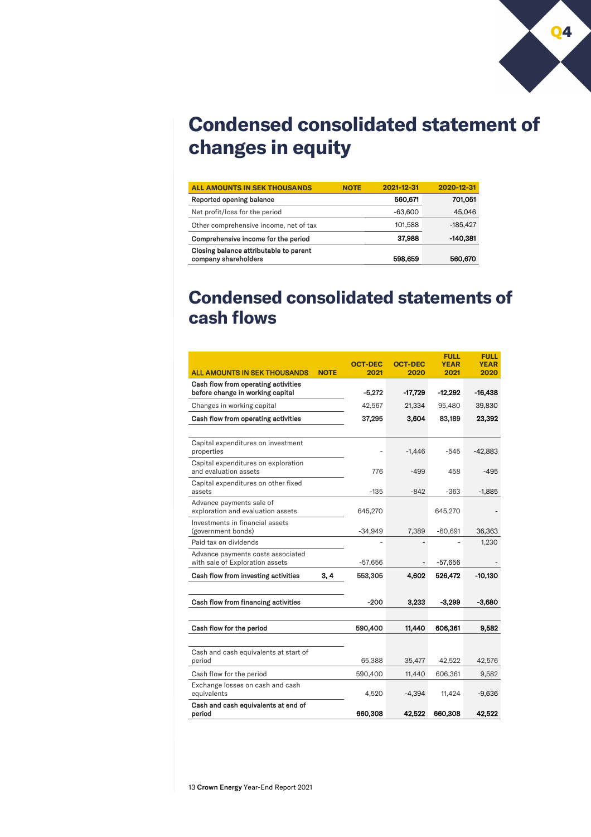

# **Condensed consolidated statement of changes in equity**

| <b>ALL AMOUNTS IN SEK THOUSANDS</b>                            | <b>NOTE</b> | 2021-12-31 | 2020-12-31 |
|----------------------------------------------------------------|-------------|------------|------------|
| Reported opening balance                                       |             | 560.671    | 701,051    |
| Net profit/loss for the period                                 |             | $-63,600$  | 45,046     |
| Other comprehensive income, net of tax                         |             | 101,588    | $-185.427$ |
| Comprehensive income for the period                            |             | 37,988     | -140.381   |
| Closing balance attributable to parent<br>company shareholders |             | 598,659    | 560,670    |

# **Condensed consolidated statements of cash flows**

|                                                                         |             | <b>OCT-DEC</b> | <b>OCT-DEC</b> | <b>FULL</b><br><b>YEAR</b> | <b>FULL</b><br><b>YEAR</b> |
|-------------------------------------------------------------------------|-------------|----------------|----------------|----------------------------|----------------------------|
| <b>ALL AMOUNTS IN SEK THOUSANDS</b>                                     | <b>NOTE</b> | 2021           | 2020           | 2021                       | 2020                       |
| Cash flow from operating activities<br>before change in working capital |             | $-5,272$       | $-17,729$      | $-12,292$                  | -16,438                    |
| Changes in working capital                                              |             | 42,567         | 21,334         | 95,480                     | 39,830                     |
| Cash flow from operating activities                                     |             | 37,295         | 3,604          | 83,189                     | 23,392                     |
|                                                                         |             |                |                |                            |                            |
| Capital expenditures on investment<br>properties                        |             |                | $-1,446$       | -545                       | -42,883                    |
| Capital expenditures on exploration<br>and evaluation assets            |             | 776            | $-499$         | 458                        | $-495$                     |
| Capital expenditures on other fixed<br>assets                           |             | $-135$         | $-842$         | $-363$                     | $-1,885$                   |
| Advance payments sale of<br>exploration and evaluation assets           |             | 645,270        |                | 645,270                    |                            |
| Investments in financial assets<br>(government bonds)                   |             | $-34,949$      | 7,389          | $-60,691$                  | 36,363                     |
| Paid tax on dividends                                                   |             |                |                |                            | 1,230                      |
| Advance payments costs associated<br>with sale of Exploration assets    |             | -57,656        |                | $-57,656$                  |                            |
| Cash flow from investing activities                                     | 3,4         | 553,305        | 4,602          | 526,472                    | $-10,130$                  |
| Cash flow from financing activities                                     |             | $-200$         | 3,233          | $-3,299$                   | -3.680                     |
|                                                                         |             |                |                |                            |                            |
| Cash flow for the period                                                |             | 590,400        | 11,440         | 606,361                    | 9.582                      |
|                                                                         |             |                |                |                            |                            |
| Cash and cash equivalents at start of<br>period                         |             | 65,388         | 35,477         | 42,522                     | 42,576                     |
| Cash flow for the period                                                |             | 590,400        | 11,440         | 606,361                    | 9,582                      |
| Exchange losses on cash and cash<br>equivalents                         |             | 4,520          | $-4,394$       | 11,424                     | $-9,636$                   |
| Cash and cash equivalents at end of<br>period                           |             | 660,308        | 42,522         | 660,308                    | 42,522                     |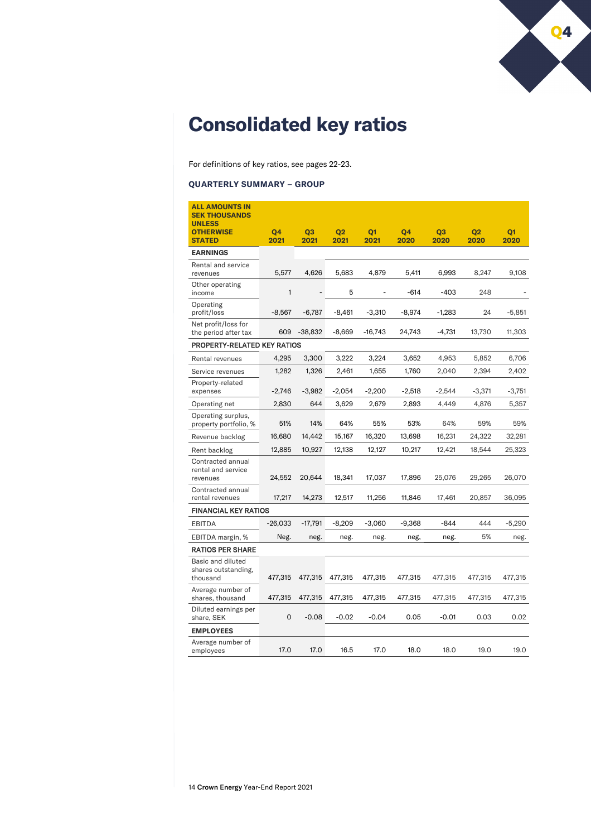

# **Consolidated key ratios**

For definitions of key ratios, see pages 22-23.

# **QUARTERLY SUMMARY – GROUP**

| <b>ALL AMOUNTS IN</b><br><b>SEK THOUSANDS</b>        |           |                          |                |                          |          |                |                |                |
|------------------------------------------------------|-----------|--------------------------|----------------|--------------------------|----------|----------------|----------------|----------------|
| <b>UNLESS</b><br><b>OTHERWISE</b>                    | Q4        | Q <sub>3</sub>           | Q <sub>2</sub> | Q <sub>1</sub>           | Q4       | Q <sub>3</sub> | Q <sub>2</sub> | Q <sub>1</sub> |
| <b>STATED</b>                                        | 2021      | 2021                     | 2021           | 2021                     | 2020     | 2020           | 2020           | 2020           |
| <b>EARNINGS</b>                                      |           |                          |                |                          |          |                |                |                |
| Rental and service<br>revenues                       | 5,577     | 4,626                    | 5,683          | 4,879                    | 5,411    | 6,993          | 8,247          | 9,108          |
| Other operating<br>income                            | 1         | $\overline{\phantom{a}}$ | 5              | $\overline{\phantom{m}}$ | $-614$   | $-403$         | 248            |                |
| Operating<br>profit/loss                             | $-8,567$  | $-6,787$                 | $-8,461$       | $-3,310$                 | $-8,974$ | $-1,283$       | 24             | $-5,851$       |
| Net profit/loss for<br>the period after tax          | 609       | $-38,832$                | $-8,669$       | $-16,743$                | 24,743   | $-4,731$       | 13,730         | 11,303         |
| PROPERTY-RELATED KEY RATIOS                          |           |                          |                |                          |          |                |                |                |
| Rental revenues                                      | 4,295     | 3,300                    | 3,222          | 3,224                    | 3,652    | 4,953          | 5,852          | 6,706          |
| Service revenues                                     | 1,282     | 1,326                    | 2,461          | 1,655                    | 1,760    | 2,040          | 2,394          | 2,402          |
| Property-related<br>expenses                         | $-2,746$  | $-3,982$                 | $-2,054$       | $-2,200$                 | $-2,518$ | $-2,544$       | $-3,371$       | $-3,751$       |
| Operating net                                        | 2,830     | 644                      | 3,629          | 2,679                    | 2,893    | 4,449          | 4,876          | 5,357          |
| Operating surplus,<br>property portfolio, %          | 51%       | 14%                      | 64%            | 55%                      | 53%      | 64%            | 59%            | 59%            |
| Revenue backlog                                      | 16,680    | 14,442                   | 15,167         | 16,320                   | 13,698   | 16,231         | 24,322         | 32,281         |
| Rent backlog                                         | 12,885    | 10,927                   | 12,138         | 12,127                   | 10,217   | 12,421         | 18,544         | 25,323         |
| Contracted annual<br>rental and service<br>revenues  | 24,552    | 20,644                   | 18,341         | 17,037                   | 17,896   | 25,076         | 29,265         | 26,070         |
| Contracted annual<br>rental revenues                 | 17,217    | 14,273                   | 12,517         | 11,256                   | 11,846   | 17,461         | 20,857         | 36,095         |
| <b>FINANCIAL KEY RATIOS</b>                          |           |                          |                |                          |          |                |                |                |
| <b>EBITDA</b>                                        | $-26,033$ | $-17,791$                | $-8,209$       | $-3,060$                 | $-9,368$ | $-844$         | 444            | $-5,290$       |
| EBITDA margin, %                                     | Neg.      | neg.                     | neg.           | neg.                     | neg,     | neg.           | 5%             | neg.           |
| <b>RATIOS PER SHARE</b>                              |           |                          |                |                          |          |                |                |                |
| Basic and diluted<br>shares outstanding,<br>thousand | 477,315   | 477,315                  | 477,315        | 477,315                  | 477,315  | 477,315        | 477,315        | 477,315        |
| Average number of<br>shares, thousand                | 477,315   | 477,315                  | 477,315        | 477,315                  | 477,315  | 477,315        | 477,315        | 477,315        |
| Diluted earnings per<br>share, SEK                   | 0         | $-0.08$                  | $-0.02$        | $-0.04$                  | 0.05     | $-0.01$        | 0.03           | 0.02           |
| <b>EMPLOYEES</b>                                     |           |                          |                |                          |          |                |                |                |
| Average number of<br>employees                       | 17.0      | 17.0                     | 16.5           | 17.0                     | 18.0     | 18.0           | 19.0           | 19.0           |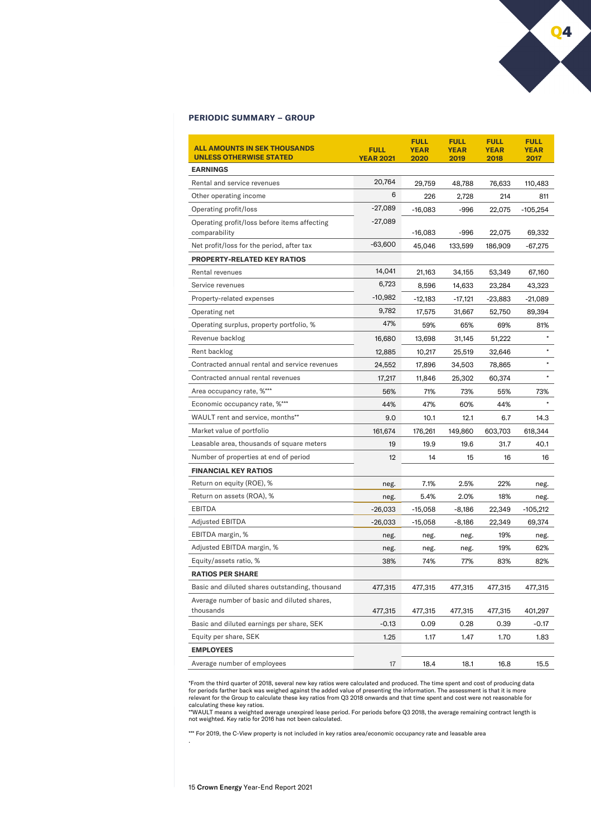# **PERIODIC SUMMARY – GROUP**

| <b>ALL AMOUNTS IN SEK THOUSANDS</b><br><b>UNLESS OTHERWISE STATED</b> | <b>FULL</b><br><b>YEAR 2021</b> | <b>FULL</b><br><b>YEAR</b><br>2020 | <b>FULL</b><br><b>YEAR</b><br>2019 | <b>FULL</b><br><b>YEAR</b><br>2018 | <b>FULL</b><br><b>YEAR</b><br>2017 |
|-----------------------------------------------------------------------|---------------------------------|------------------------------------|------------------------------------|------------------------------------|------------------------------------|
| <b>EARNINGS</b>                                                       |                                 |                                    |                                    |                                    |                                    |
| Rental and service revenues                                           | 20,764                          | 29,759                             | 48,788                             | 76,633                             | 110,483                            |
| Other operating income                                                | 6                               | 226                                | 2,728                              | 214                                | 811                                |
| Operating profit/loss                                                 | -27,089                         | $-16,083$                          | $-996$                             | 22,075                             | $-105,254$                         |
| Operating profit/loss before items affecting<br>comparability         | $-27,089$                       | $-16,083$                          | -996                               | 22,075                             | 69,332                             |
| Net profit/loss for the period, after tax                             | $-63,600$                       | 45,046                             | 133,599                            | 186,909                            | -67,275                            |
| <b>PROPERTY-RELATED KEY RATIOS</b>                                    |                                 |                                    |                                    |                                    |                                    |
| Rental revenues                                                       | 14,041                          | 21,163                             | 34,155                             | 53,349                             | 67,160                             |
| Service revenues                                                      | 6,723                           | 8,596                              | 14,633                             | 23,284                             | 43,323                             |
| Property-related expenses                                             | $-10,982$                       | -12,183                            | $-17,121$                          | -23,883                            | -21,089                            |
| Operating net                                                         | 9,782                           | 17,575                             | 31,667                             | 52,750                             | 89,394                             |
| Operating surplus, property portfolio, %                              | 47%                             | 59%                                | 65%                                | 69%                                | 81%                                |
| Revenue backlog                                                       | 16,680                          | 13,698                             | 31,145                             | 51,222                             | $\star$                            |
| Rent backlog                                                          | 12,885                          | 10,217                             | 25,519                             | 32,646                             | $\star$                            |
| Contracted annual rental and service revenues                         | 24,552                          | 17,896                             | 34,503                             | 78,865                             | $\star$                            |
| Contracted annual rental revenues                                     | 17,217                          | 11,846                             | 25,302                             | 60,374                             |                                    |
| Area occupancy rate, %***                                             | 56%                             | 71%                                | 73%                                | 55%                                | 73%                                |
| Economic occupancy rate, %***                                         | 44%                             | 47%                                | 60%                                | 44%                                |                                    |
| WAULT rent and service, months**                                      | 9.0                             | 10.1                               | 12.1                               | 6.7                                | 14.3                               |
| Market value of portfolio                                             | 161,674                         | 176,261                            | 149,860                            | 603,703                            | 618,344                            |
| Leasable area, thousands of square meters                             | 19                              | 19.9                               | 19.6                               | 31.7                               | 40.1                               |
| Number of properties at end of period                                 | 12 <sup>2</sup>                 | 14                                 | 15                                 | 16                                 | 16                                 |
| <b>FINANCIAL KEY RATIOS</b>                                           |                                 |                                    |                                    |                                    |                                    |
| Return on equity (ROE), %                                             | neg.                            | 7.1%                               | 2.5%                               | 22%                                | neg.                               |
| Return on assets (ROA), %                                             | neg.                            | 5.4%                               | 2.0%                               | 18%                                | neg.                               |
| <b>EBITDA</b>                                                         | $-26,033$                       | $-15,058$                          | $-8,186$                           | 22,349                             | -105,212                           |
| <b>Adjusted EBITDA</b>                                                | -26,033                         | $-15,058$                          | $-8,186$                           | 22,349                             | 69,374                             |
| EBITDA margin, %                                                      | neg.                            | neg.                               | neg.                               | 19%                                | neg.                               |
| Adjusted EBITDA margin, %                                             | neg.                            | neg.                               | neg.                               | 19%                                | 62%                                |
| Equity/assets ratio, %                                                | 38%                             | 74%                                | 77%                                | 83%                                | 82%                                |
| <b>RATIOS PER SHARE</b>                                               |                                 |                                    |                                    |                                    |                                    |
| Basic and diluted shares outstanding, thousand                        | 477,315                         | 477,315                            | 477,315                            | 477,315                            | 477,315                            |
| Average number of basic and diluted shares,<br>thousands              | 477,315                         | 477,315                            | 477,315                            | 477,315                            | 401,297                            |
| Basic and diluted earnings per share, SEK                             | $-0.13$                         | 0.09                               | 0.28                               | 0.39                               | $-0.17$                            |
| Equity per share, SEK                                                 | 1.25                            | 1.17                               | 1.47                               | 1.70                               | 1.83                               |
| <b>EMPLOYEES</b>                                                      |                                 |                                    |                                    |                                    |                                    |
| Average number of employees                                           | 17                              | 18.4                               | 18.1                               | 16.8                               | 15.5                               |

\*From the third quarter of 2018, several new key ratios were calculated and produced. The time spent and cost of producing data<br>for periods farther back was weighed against the added value of presenting the information. Th

calculating these key ratios.<br>\*\*WAULT means a weighted average unexpired lease period. For periods before Q3 2018, the average remaining contract length is<br>not weighted. Key ratio for 2016 has not been calculated.

\*\*\* For 2019, the C-View property is not included in key ratios area/economic occupancy rate and leasable area

15 Crown Energy Year-End Report 2021

.

Q4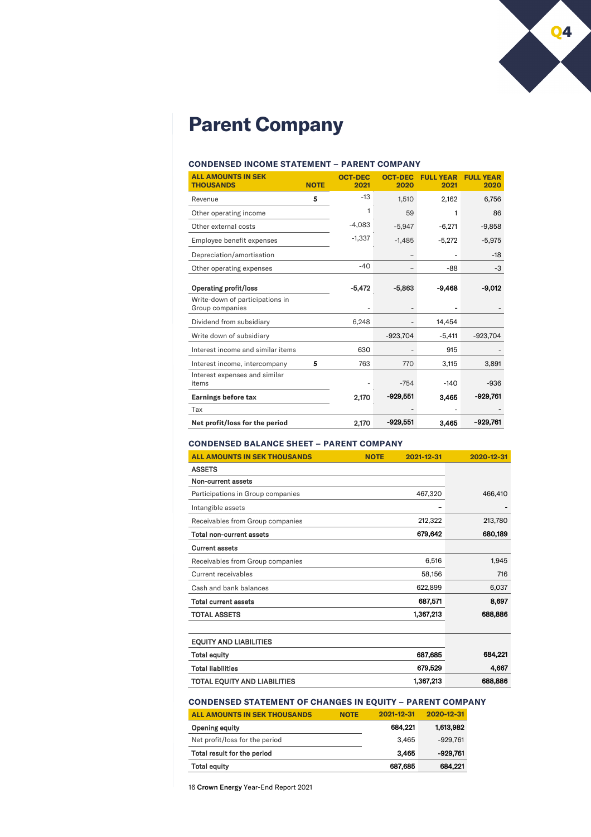

# **Parent Company**

# **CONDENSED INCOME STATEMENT – PARENT COMPANY**

| <b>ALL AMOUNTS IN SEK</b><br><b>THOUSANDS</b>      | <b>NOTE</b> | <b>OCT-DEC</b><br>2021 | <b>OCT-DEC</b><br>2020 | <b>FULL YEAR</b><br>2021 | <b>FULL YEAR</b><br>2020 |
|----------------------------------------------------|-------------|------------------------|------------------------|--------------------------|--------------------------|
| Revenue                                            | 5           | $-13$                  | 1,510                  | 2,162                    | 6,756                    |
| Other operating income                             |             | 1                      | 59                     | 1                        | 86                       |
| Other external costs                               |             | $-4,083$               | $-5,947$               | $-6,271$                 | $-9,858$                 |
| Employee benefit expenses                          |             | $-1.337$               | $-1.485$               | $-5,272$                 | $-5,975$                 |
| Depreciation/amortisation                          |             |                        |                        |                          | $-18$                    |
| Other operating expenses                           |             | $-40$                  |                        | -88                      | $-3$                     |
| <b>Operating profit/loss</b>                       |             | $-5.472$               | $-5.863$               | -9.468                   | -9.012                   |
| Write-down of participations in<br>Group companies |             |                        |                        |                          |                          |
| Dividend from subsidiary                           |             | 6,248                  |                        | 14.454                   |                          |
| Write down of subsidiary                           |             |                        | $-923,704$             | $-5,411$                 | $-923,704$               |
| Interest income and similar items                  |             | 630                    |                        | 915                      |                          |
| Interest income, intercompany                      | 5           | 763                    | 770                    | 3,115                    | 3,891                    |
| Interest expenses and similar<br>items             |             |                        | $-754$                 | $-140$                   | $-936$                   |
| <b>Earnings before tax</b>                         |             | 2,170                  | $-929,551$             | 3,465                    | -929,761                 |
| Tax                                                |             |                        |                        |                          |                          |
| Net profit/loss for the period                     |             | 2,170                  | $-929.551$             | 3.465                    | $-929,761$               |

# **CONDENSED BALANCE SHEET – PARENT COMPANY**

| <b>ALL AMOUNTS IN SEK THOUSANDS</b> | <b>NOTE</b> | 2021-12-31 | 2020-12-31 |
|-------------------------------------|-------------|------------|------------|
| <b>ASSETS</b>                       |             |            |            |
| Non-current assets                  |             |            |            |
| Participations in Group companies   |             | 467,320    | 466,410    |
| Intangible assets                   |             | -          |            |
| Receivables from Group companies    |             | 212,322    | 213,780    |
| Total non-current assets            |             | 679,642    | 680,189    |
| <b>Current assets</b>               |             |            |            |
| Receivables from Group companies    |             | 6,516      | 1,945      |
| Current receivables                 |             | 58,156     | 716        |
| Cash and bank balances              |             | 622,899    | 6,037      |
| <b>Total current assets</b>         |             | 687,571    | 8,697      |
| <b>TOTAL ASSETS</b>                 |             | 1,367,213  | 688,886    |
|                                     |             |            |            |
| <b>EQUITY AND LIABILITIES</b>       |             |            |            |

| LUUIII AND LADILIILU                |           |         |
|-------------------------------------|-----------|---------|
| <b>Total equity</b>                 | 687.685   | 684.221 |
| <b>Total liabilities</b>            | 679.529   | 4.667   |
| <b>TOTAL EQUITY AND LIABILITIES</b> | 1,367,213 | 688,886 |

# **CONDENSED STATEMENT OF CHANGES IN EQUITY – PARENT COMPANY**

| ALL AMOUNTS IN SEK THOUSANDS   | <b>NOTE</b> | 2021-12-31 | 2020-12-31 |
|--------------------------------|-------------|------------|------------|
| Opening equity                 |             | 684.221    | 1,613,982  |
| Net profit/loss for the period |             | 3.465      | -929.761   |
| Total result for the period    |             | 3.465      | -929.761   |
| <b>Total equity</b>            |             | 687,685    | 684.221    |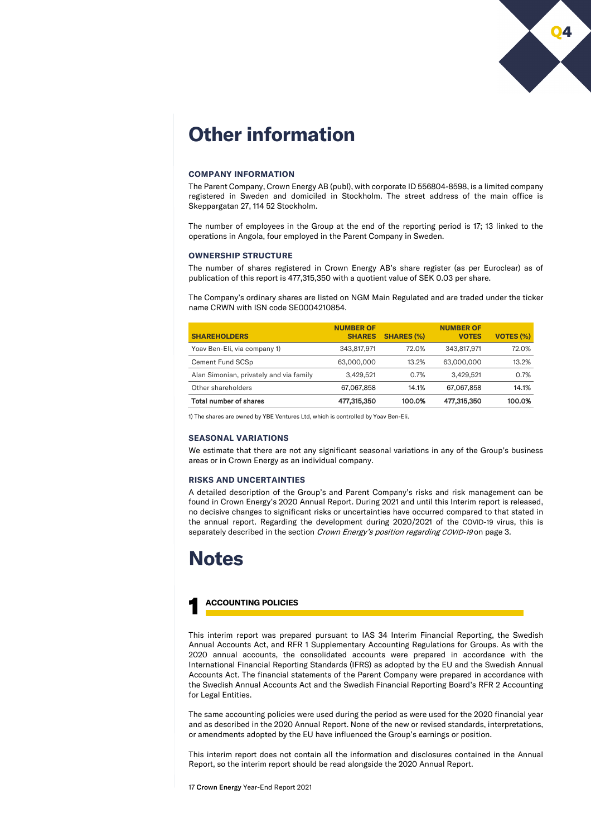

# **Other information**

## **COMPANY INFORMATION**

The Parent Company, Crown Energy AB (publ), with corporate ID 556804-8598, is a limited company registered in Sweden and domiciled in Stockholm. The street address of the main office is Skeppargatan 27, 114 52 Stockholm.

The number of employees in the Group at the end of the reporting period is 17; 13 linked to the operations in Angola, four employed in the Parent Company in Sweden.

# **OWNERSHIP STRUCTURE**

The number of shares registered in Crown Energy AB's share register (as per Euroclear) as of publication of this report is 477,315,350 with a quotient value of SEK 0.03 per share.

The Company's ordinary shares are listed on NGM Main Regulated and are traded under the ticker name CRWN with ISN code SE0004210854.

| <b>SHAREHOLDERS</b>                     | <b>NUMBER OF</b><br><b>SHARES</b> | <b>SHARES (%)</b> | <b>NUMBER OF</b><br><b>VOTES</b> | <b>VOTES (%)</b> |
|-----------------------------------------|-----------------------------------|-------------------|----------------------------------|------------------|
| Yoav Ben-Eli, via company 1)            | 343.817.971                       | 72.0%             | 343.817.971                      | 72.0%            |
| Cement Fund SCSp                        | 63,000,000                        | 13.2%             | 63,000,000                       | 13.2%            |
| Alan Simonian, privately and via family | 3.429.521                         | 0.7%              | 3.429.521                        | 0.7%             |
| Other shareholders                      | 67,067,858                        | 14.1%             | 67.067.858                       | 14.1%            |
| Total number of shares                  | 477,315,350                       | 100.0%            | 477,315,350                      | 100.0%           |

1) The shares are owned by YBE Ventures Ltd, which is controlled by Yoav Ben-Eli.

# **SEASONAL VARIATIONS**

We estimate that there are not any significant seasonal variations in any of the Group's business areas or in Crown Energy as an individual company.

#### **RISKS AND UNCERTAINTIES**

A detailed description of the Group's and Parent Company's risks and risk management can be found in Crown Energy's 2020 Annual Report. During 2021 and until this Interim report is released, no decisive changes to significant risks or uncertainties have occurred compared to that stated in the annual report. Regarding the development during 2020/2021 of the COVID-19 virus, this is separately described in the section Crown Energy's position regarding COVID-19 on page 3.

# **Notes**

# 1 **ACCOUNTING POLICIES**

This interim report was prepared pursuant to IAS 34 Interim Financial Reporting, the Swedish Annual Accounts Act, and RFR 1 Supplementary Accounting Regulations for Groups. As with the 2020 annual accounts, the consolidated accounts were prepared in accordance with the International Financial Reporting Standards (IFRS) as adopted by the EU and the Swedish Annual Accounts Act. The financial statements of the Parent Company were prepared in accordance with the Swedish Annual Accounts Act and the Swedish Financial Reporting Board's RFR 2 Accounting for Legal Entities.

The same accounting policies were used during the period as were used for the 2020 financial year and as described in the 2020 Annual Report. None of the new or revised standards, interpretations, or amendments adopted by the EU have influenced the Group's earnings or position.

This interim report does not contain all the information and disclosures contained in the Annual Report, so the interim report should be read alongside the 2020 Annual Report.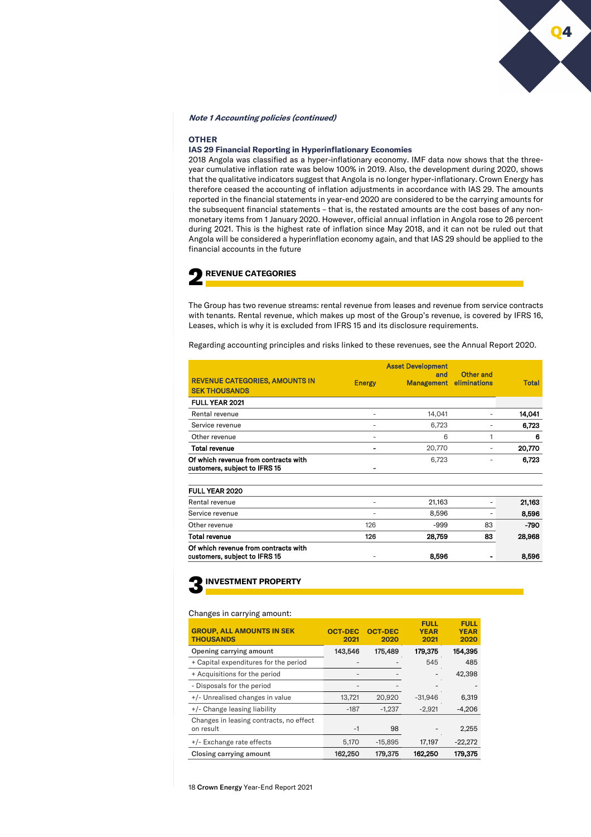# **Note 1 Accounting policies (continued)**

# **OTHER**

# **IAS 29 Financial Reporting in Hyperinflationary Economies**

2018 Angola was classified as a hyper-inflationary economy. IMF data now shows that the threeyear cumulative inflation rate was below 100% in 2019. Also, the development during 2020, shows that the qualitative indicators suggest that Angola is no longer hyper-inflationary. Crown Energy has therefore ceased the accounting of inflation adjustments in accordance with IAS 29. The amounts reported in the financial statements in year-end 2020 are considered to be the carrying amounts for the subsequent financial statements – that is, the restated amounts are the cost bases of any nonmonetary items from 1 January 2020. However, official annual inflation in Angola rose to 26 percent during 2021. This is the highest rate of inflation since May 2018, and it can not be ruled out that Angola will be considered a hyperinflation economy again, and that IAS 29 should be applied to the financial accounts in the future



The Group has two revenue streams: rental revenue from leases and revenue from service contracts with tenants. Rental revenue, which makes up most of the Group's revenue, is covered by IFRS 16, Leases, which is why it is excluded from IFRS 15 and its disclosure requirements.

Regarding accounting principles and risks linked to these revenues, see the Annual Report 2020.

|                                                                       |               | <b>Asset Development</b> |                           |              |
|-----------------------------------------------------------------------|---------------|--------------------------|---------------------------|--------------|
| <b>REVENUE CATEGORIES, AMOUNTS IN</b><br><b>SEK THOUSANDS</b>         | <b>Energy</b> | and<br>Management        | Other and<br>eliminations | <b>Total</b> |
| <b>FULL YEAR 2021</b>                                                 |               |                          |                           |              |
| Rental revenue                                                        | ٠             | 14.041                   |                           | 14,041       |
| Service revenue                                                       | ۰             | 6,723                    |                           | 6,723        |
| Other revenue                                                         |               | 6                        | 1                         | 6            |
| <b>Total revenue</b>                                                  | ۰             | 20,770                   | ۰                         | 20,770       |
| Of which revenue from contracts with<br>customers, subject to IFRS 15 |               | 6,723                    |                           | 6,723        |
| <b>FULL YEAR 2020</b>                                                 |               |                          |                           |              |
| Rental revenue                                                        | ٠             | 21,163                   | ۰                         | 21,163       |
| Service revenue                                                       |               | 8,596                    |                           | 8,596        |
| Other revenue                                                         | 126           | $-999$                   | 83                        | $-790$       |
| Total revenue                                                         | 126           | 28,759                   | 83                        | 28,968       |
| Of which revenue from contracts with<br>customers, subject to IFRS 15 | ٠             | 8,596                    |                           | 8,596        |

3**INVESTMENT PROPERTY**

# Changes in carrying amount:

| <b>GROUP, ALL AMOUNTS IN SEK</b><br><b>THOUSANDS</b> | <b>OCT-DEC</b><br>2021 | <b>OCT-DEC</b><br>2020 | <b>FULL</b><br><b>YEAR</b><br>2021 | <b>FULL</b><br><b>YEAR</b><br>2020 |
|------------------------------------------------------|------------------------|------------------------|------------------------------------|------------------------------------|
| Opening carrying amount                              | 143,546                | 175,489                | 179,375                            | 154,395                            |
| + Capital expenditures for the period                |                        |                        | 545                                | 485                                |
| + Acquisitions for the period                        |                        |                        |                                    | 42,398                             |
| - Disposals for the period                           |                        |                        |                                    |                                    |
| +/- Unrealised changes in value                      | 13,721                 | 20.920                 | $-31.946$                          | 6,319                              |
| +/- Change leasing liability                         | $-187$                 | $-1.237$               | $-2.921$                           | $-4,206$                           |
| Changes in leasing contracts, no effect<br>on result | $-1$                   | 98                     |                                    | 2,255                              |
| +/- Exchange rate effects                            | 5.170                  | $-15.895$              | 17,197                             | $-22,272$                          |
| Closing carrying amount                              | 162,250                | 179,375                | 162,250                            | 179,375                            |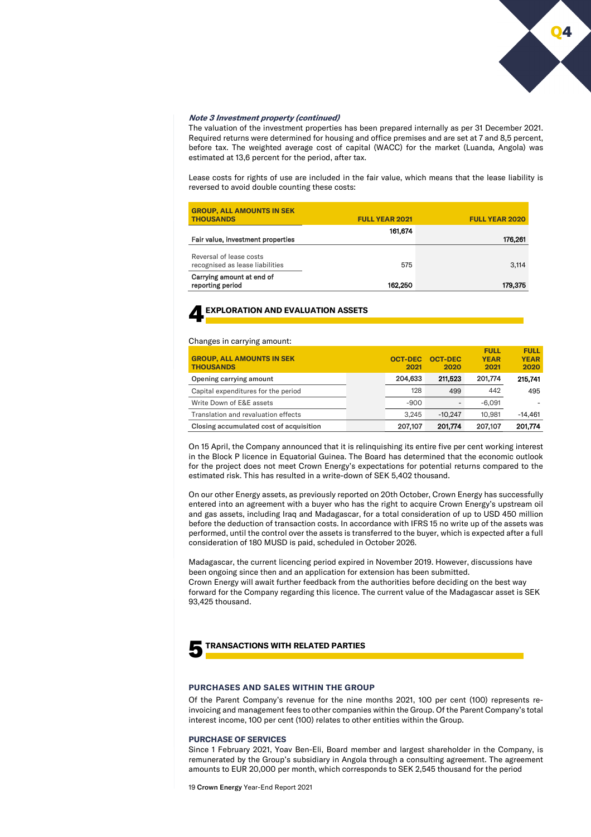

#### **Note 3 Investment property (continued)**

The valuation of the investment properties has been prepared internally as per 31 December 2021. Required returns were determined for housing and office premises and are set at 7 and 8,5 percent, before tax. The weighted average cost of capital (WACC) for the market (Luanda, Angola) was estimated at 13,6 percent for the period, after tax.

Lease costs for rights of use are included in the fair value, which means that the lease liability is reversed to avoid double counting these costs:

| Carrying amount at end of<br>reporting period              | 162,250               | 179,375               |
|------------------------------------------------------------|-----------------------|-----------------------|
| Reversal of lease costs<br>recognised as lease liabilities | 575                   | 3,114                 |
| Fair value, investment properties                          | 161.674               | 176,261               |
| <b>GROUP, ALL AMOUNTS IN SEK</b><br><b>THOUSANDS</b>       | <b>FULL YEAR 2021</b> | <b>FULL YEAR 2020</b> |

# 4**EXPLORATION AND EVALUATION ASSETS**

#### Changes in carrying amount:

| <b>GROUP, ALL AMOUNTS IN SEK</b><br><b>THOUSANDS</b> | <b>OCT-DEC</b><br>2021 | <b>OCT-DEC</b><br>2020 | <b>FULL</b><br><b>YEAR</b><br>2021 | <b>FULL</b><br><b>YEAR</b><br>2020 |
|------------------------------------------------------|------------------------|------------------------|------------------------------------|------------------------------------|
| Opening carrying amount                              | 204.633                | 211.523                | 201.774                            | 215.741                            |
| Capital expenditures for the period                  | 128                    | 499                    | 442                                | 495                                |
| Write Down of E&E assets                             | $-900$                 |                        | $-6.091$                           |                                    |
| Translation and revaluation effects                  | 3.245                  | $-10.247$              | 10.981                             | $-14.461$                          |
| Closing accumulated cost of acquisition              | 207,107                | 201.774                | 207.107                            | 201.774                            |

On 15 April, the Company announced that it is relinquishing its entire five per cent working interest in the Block P licence in Equatorial Guinea. The Board has determined that the economic outlook for the project does not meet Crown Energy's expectations for potential returns compared to the estimated risk. This has resulted in a write-down of SEK 5,402 thousand.

On our other Energy assets, as previously reported on 20th October, Crown Energy has successfully entered into an agreement with a buyer who has the right to acquire Crown Energy's upstream oil and gas assets, including Iraq and Madagascar, for a total consideration of up to USD 450 million before the deduction of transaction costs. In accordance with IFRS 15 no write up of the assets was performed, until the control over the assets is transferred to the buyer, which is expected after a full consideration of 180 MUSD is paid, scheduled in October 2026.

Madagascar, the current licencing period expired in November 2019. However, discussions have been ongoing since then and an application for extension has been submitted.

Crown Energy will await further feedback from the authorities before deciding on the best way forward for the Company regarding this licence. The current value of the Madagascar asset is SEK 93,425 thousand.



# 5**TRANSACTIONS WITH RELATED PARTIES**

#### **PURCHASES AND SALES WITHIN THE GROUP**

Of the Parent Company's revenue for the nine months 2021, 100 per cent (100) represents reinvoicing and management fees to other companies within the Group. Of the Parent Company's total interest income, 100 per cent (100) relates to other entities within the Group.

#### **PURCHASE OF SERVICES**

Since 1 February 2021, Yoav Ben-Eli, Board member and largest shareholder in the Company, is remunerated by the Group's subsidiary in Angola through a consulting agreement. The agreement amounts to EUR 20,000 per month, which corresponds to SEK 2,545 thousand for the period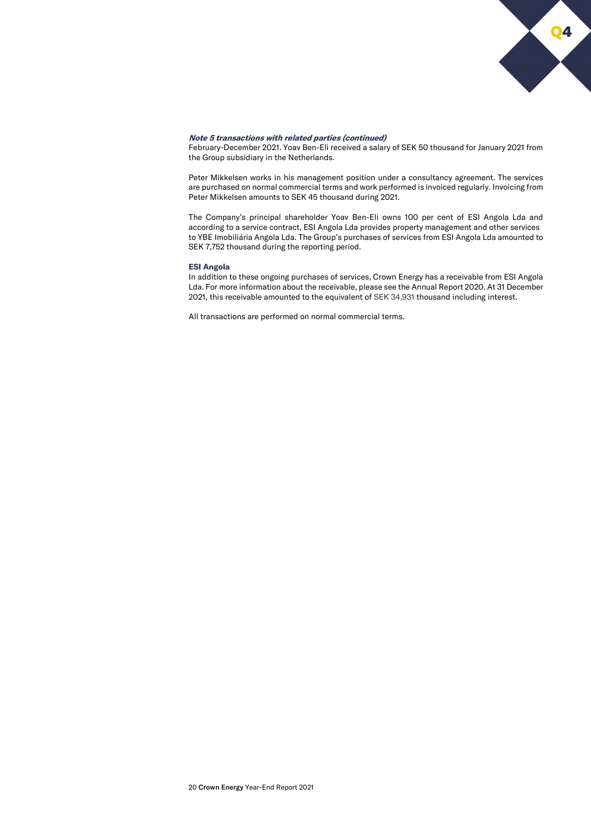

## **Note 5 transactions with related parties (continued)**

February-December 2021. Yoav Ben-Eli received a salary of SEK 50 thousand for January 2021 from the Group subsidiary in the Netherlands.

Peter Mikkelsen works in his management position under a consultancy agreement. The services are purchased on normal commercial terms and work performed is invoiced regularly. Invoicing from Peter Mikkelsen amounts to SEK 45 thousand during 2021.

The Company's principal shareholder Yoav Ben-Eli owns 100 per cent of ESI Angola Lda and according to a service contract, ESI Angola Lda provides property management and other services to YBE Imobiliária Angola Lda. The Group's purchases of services from ESI Angola Lda amounted to SEK 7,752 thousand during the reporting period.

#### **ESI Angola**

In addition to these ongoing purchases of services, Crown Energy has a receivable from ESI Angola Lda. For more information about the receivable, please see the Annual Report 2020. At 31 December 2021, this receivable amounted to the equivalent of SEK 34,931 thousand including interest.

All transactions are performed on normal commercial terms.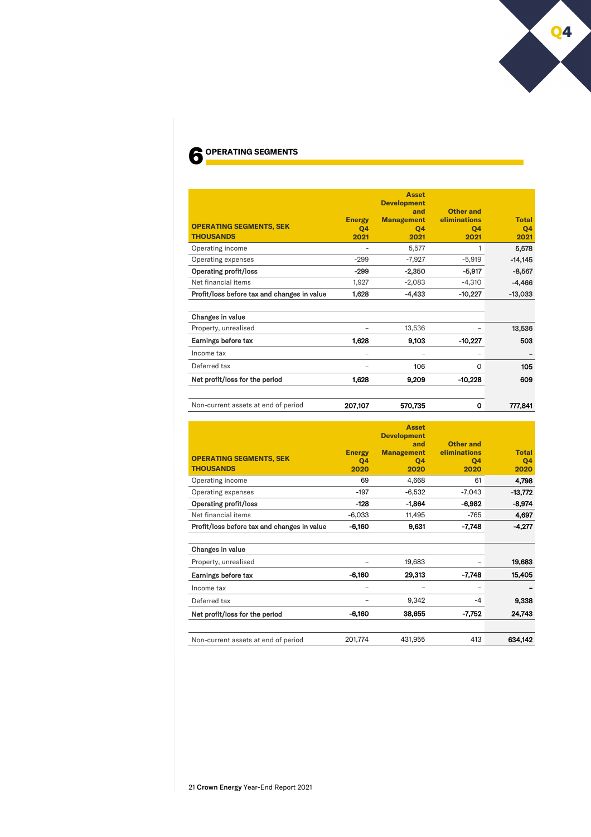# 6 **OPERATING SEGMENTS**

|                                                    |                             | <b>Asset</b><br><b>Development</b>     |                                         |                            |
|----------------------------------------------------|-----------------------------|----------------------------------------|-----------------------------------------|----------------------------|
| <b>OPERATING SEGMENTS, SEK</b><br><b>THOUSANDS</b> | <b>Energy</b><br>04<br>2021 | and<br><b>Management</b><br>04<br>2021 | Other and<br>eliminations<br>04<br>2021 | <b>Total</b><br>Q4<br>2021 |
| Operating income                                   |                             | 5,577                                  |                                         | 5,578                      |
| Operating expenses                                 | $-299$                      | $-7,927$                               | $-5,919$                                | $-14,145$                  |
| <b>Operating profit/loss</b>                       | $-299$                      | $-2,350$                               | $-5,917$                                | $-8,567$                   |
| Net financial items                                | 1,927                       | $-2,083$                               | $-4,310$                                | $-4,466$                   |
| Profit/loss before tax and changes in value        | 1,628                       | $-4,433$                               | $-10,227$                               | $-13,033$                  |
| Changes in value                                   |                             |                                        |                                         |                            |
| Property, unrealised                               |                             | 13,536                                 |                                         | 13,536                     |
| Earnings before tax                                | 1.628                       | 9,103                                  | $-10,227$                               | 503                        |
| Income tax                                         | -                           |                                        |                                         |                            |
| Deferred tax                                       |                             | 106                                    | 0                                       | 105                        |
| Net profit/loss for the period                     | 1,628                       | 9,209                                  | $-10,228$                               | 609                        |
|                                                    |                             |                                        |                                         |                            |

Non-current assets at end of period **207,107** 570,735 0 777,841

| <b>OPERATING SEGMENTS, SEK</b><br><b>THOUSANDS</b> | <b>Energy</b><br>Q4<br>2020 | <b>Asset</b><br><b>Development</b><br>and<br><b>Management</b><br>Q4<br>2020 | Other and<br>eliminations<br>04<br>2020 | <b>Total</b><br>04<br>2020 |
|----------------------------------------------------|-----------------------------|------------------------------------------------------------------------------|-----------------------------------------|----------------------------|
| Operating income                                   | 69                          | 4.668                                                                        | 61                                      | 4,798                      |
| Operating expenses                                 | $-197$                      | $-6.532$                                                                     | -7.043                                  | $-13.772$                  |
| <b>Operating profit/loss</b>                       | $-128$                      | $-1.864$                                                                     | $-6,982$                                | $-8,974$                   |
| Net financial items                                | $-6.033$                    | 11.495                                                                       | $-765$                                  | 4,697                      |
| Profit/loss before tax and changes in value        | $-6,160$                    | 9.631                                                                        | -7.748                                  | $-4,277$                   |

| Changes in value                    |          |         |          |         |
|-------------------------------------|----------|---------|----------|---------|
| Property, unrealised                |          | 19.683  |          | 19,683  |
| Earnings before tax                 | $-6,160$ | 29,313  | $-7,748$ | 15,405  |
| Income tax                          | -        |         |          |         |
| Deferred tax                        | -        | 9.342   | $-4$     | 9,338   |
| Net profit/loss for the period      | $-6,160$ | 38,655  | $-7.752$ | 24.743  |
|                                     |          |         |          |         |
| Non-current assets at end of period | 201.774  | 431.955 | 413      | 634,142 |

O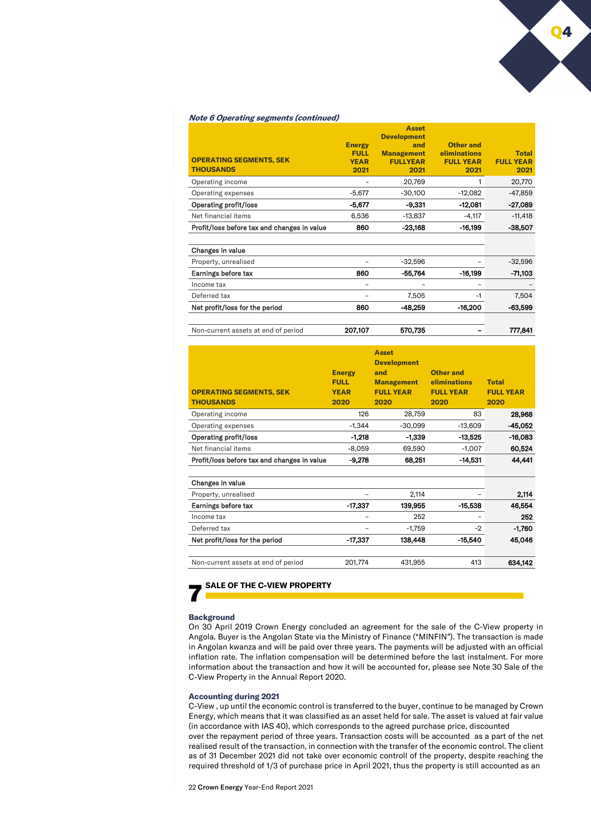## **Note 6 Operating segments (continued)**

|                                             |               | <b>Asset</b>       |                  |                  |
|---------------------------------------------|---------------|--------------------|------------------|------------------|
|                                             |               | <b>Development</b> |                  |                  |
|                                             | <b>Energy</b> | and                | <b>Other and</b> |                  |
|                                             | <b>FULL</b>   | <b>Management</b>  | eliminations     | <b>Total</b>     |
| <b>OPERATING SEGMENTS, SEK</b>              | <b>YEAR</b>   | <b>FULLYEAR</b>    | <b>FULL YEAR</b> | <b>FULL YEAR</b> |
| <b>THOUSANDS</b>                            | 2021          | 2021               | 2021             | 2021             |
| Operating income                            |               | 20,769             |                  | 20,770           |
| Operating expenses                          | $-5,677$      | $-30,100$          | $-12,082$        | $-47,859$        |
| <b>Operating profit/loss</b>                | $-5.677$      | $-9,331$           | $-12.081$        | $-27,089$        |
| Net financial items                         | 6,536         | $-13,837$          | $-4,117$         | $-11,418$        |
| Profit/loss before tax and changes in value | 860           | $-23,168$          | $-16,199$        | $-38,507$        |
| Changes in value                            |               |                    |                  |                  |
| Property, unrealised                        |               | $-32,596$          |                  | $-32,596$        |
| Earnings before tax                         | 860           | $-55,764$          | $-16,199$        | $-71,103$        |
| Income tax                                  |               |                    |                  |                  |
| Deferred tax                                |               | 7,505              | $-1$             | 7,504            |
| Net profit/loss for the period              | 860           | $-48.259$          | $-16,200$        | $-63,599$        |

Non-current assets at end of period **207,107** 570,735 **1998** - 777,841

| <b>OPERATING SEGMENTS, SEK</b><br><b>THOUSANDS</b> | <b>Energy</b><br><b>FULL</b><br><b>YEAR</b><br>2020 | <b>Asset</b><br><b>Development</b><br>and<br><b>Management</b><br><b>FULL YEAR</b><br>2020 | <b>Other and</b><br>eliminations<br><b>FULL YEAR</b><br>2020 | <b>Total</b><br><b>FULL YEAR</b><br>2020 |
|----------------------------------------------------|-----------------------------------------------------|--------------------------------------------------------------------------------------------|--------------------------------------------------------------|------------------------------------------|
| Operating income                                   | 126                                                 | 28,759                                                                                     | 83                                                           | 28,968                                   |
| Operating expenses                                 | $-1,344$                                            | $-30,099$                                                                                  | $-13,609$                                                    | -45,052                                  |
| <b>Operating profit/loss</b>                       | $-1,218$                                            | $-1,339$                                                                                   | $-13,525$                                                    | $-16,083$                                |
| Net financial items                                | $-8,059$                                            | 69,590                                                                                     | $-1,007$                                                     | 60.524                                   |
| Profit/loss before tax and changes in value        | $-9,278$                                            | 68,251                                                                                     | $-14,531$                                                    | 44,441                                   |
| Changes in value<br>Property, unrealised           |                                                     | 2,114                                                                                      |                                                              | 2,114                                    |
| Earnings before tax                                | -17,337                                             | 139,955                                                                                    | $-15,538$                                                    | 46,554                                   |
| Income tax                                         |                                                     | 252                                                                                        |                                                              | 252                                      |
| Deferred tax                                       |                                                     | $-1,759$                                                                                   | -2                                                           | $-1,760$                                 |
| Net profit/loss for the period                     | -17,337                                             | 138,448                                                                                    | $-15.540$                                                    | 45.046                                   |
| Non-current assets at end of period                | 201.774                                             | 431.955                                                                                    | 413                                                          | 634,142                                  |

# **SALE OF THE C-VIEW PROPERTY**

#### **Background**

On 30 April 2019 Crown Energy concluded an agreement for the sale of the C-View property in Angola. Buyer is the Angolan State via the Ministry of Finance ("MINFIN"). The transaction is made in Angolan kwanza and will be paid over three years. The payments will be adjusted with an official inflation rate. The inflation compensation will be determined before the last instalment. For more information about the transaction and how it will be accounted for, please see Note 30 Sale of the C-View Property in the Annual Report 2020.

#### **Accounting during 2021**

C-View , up until the economic control is transferred to the buyer, continue to be managed by Crown Energy, which means that it was classified as an asset held for sale. The asset is valued at fair value (in accordance with IAS 40), which corresponds to the agreed purchase price, discounted over the repayment period of three years. Transaction costs will be accounted as a part of the net realised result of the transaction, in connection with the transfer of the economic control. The client as of 31 December 2021 did not take over economic controll of the property, despite reaching the required threshold of 1/3 of purchase price in April 2021, thus the property is still accounted as an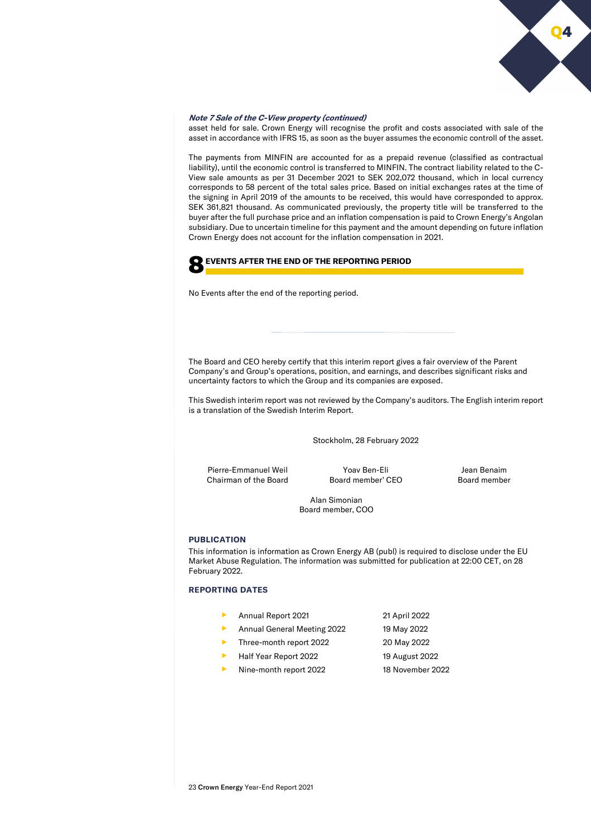

# **Note 7 Sale of the C-View property (continued)**

asset held for sale. Crown Energy will recognise the profit and costs associated with sale of the asset in accordance with IFRS 15, as soon as the buyer assumes the economic controll of the asset.

The payments from MINFIN are accounted for as a prepaid revenue (classified as contractual liability), until the economic control is transferred to MINFIN. The contract liability related to the C-View sale amounts as per 31 December 2021 to SEK 202,072 thousand, which in local currency corresponds to 58 percent of the total sales price. Based on initial exchanges rates at the time of the signing in April 2019 of the amounts to be received, this would have corresponded to approx. SEK 361,821 thousand. As communicated previously, the property title will be transferred to the buyer after the full purchase price and an inflation compensation is paid to Crown Energy's Angolan subsidiary. Due to uncertain timeline for this payment and the amount depending on future inflation Crown Energy does not account for the inflation compensation in 2021.

# 8**EVENTS AFTER THE END OF THE REPORTING PERIOD**

No Events after the end of the reporting period.

The Board and CEO hereby certify that this interim report gives a fair overview of the Parent Company's and Group's operations, position, and earnings, and describes significant risks and uncertainty factors to which the Group and its companies are exposed.

This Swedish interim report was not reviewed by the Company's auditors. The English interim report is a translation of the Swedish Interim Report.

Stockholm, 28 February 2022

Pierre-Emmanuel Weil Chairman of the Board

Yoav Ben-Eli Board member' CEO

Jean Benaim Board member

Alan Simonian Board member, COO

# **PUBLICATION**

This information is information as Crown Energy AB (publ) is required to disclose under the EU Market Abuse Regulation. The information was submitted for publication at 22:00 CET, on 28 February 2022.

# **REPORTING DATES**

- Annual Report 2021 21 April 2022 Annual General Meeting 2022 19 May 2022 Three-month report 2022 20 May 2022
- Half Year Report 2022 19 August 2022
- Nine-month report 2022 18 November 2022
- 
-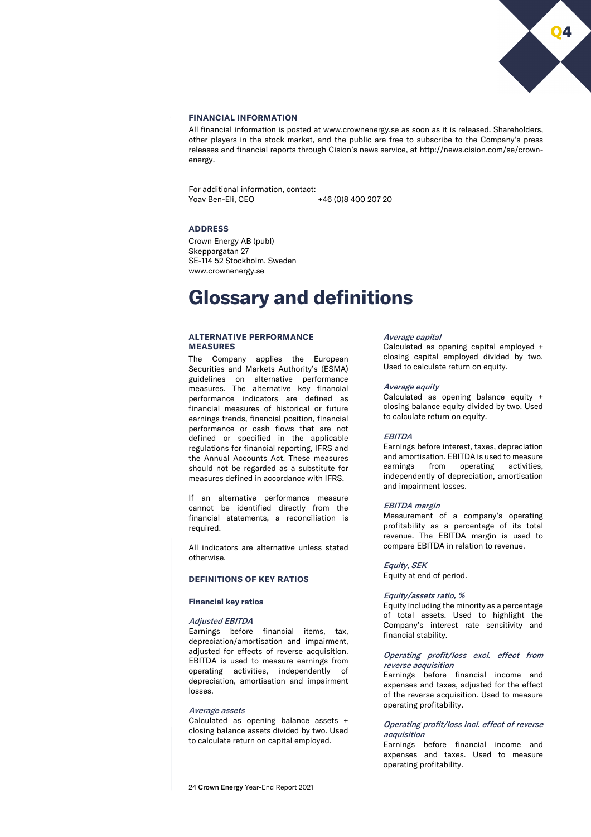

# **FINANCIAL INFORMATION**

All financial information is posted at www.crownenergy.se as soon as it is released. Shareholders, other players in the stock market, and the public are free to subscribe to the Company's press releases and financial reports through Cision's news service, at http://news.cision.com/se/crownenergy.

For additional information, contact:<br>Yoav Ben-Eli. CEO +46 (0)8 400 207 20

# **ADDRESS**

Crown Energy AB (publ) Skeppargatan 27 SE-114 52 Stockholm, Sweden www.crownenergy.se

# **Glossary and definitions**

## **ALTERNATIVE PERFORMANCE MEASURES**

The Company applies the European Securities and Markets Authority's (ESMA) guidelines on alternative performance measures. The alternative key financial performance indicators are defined as financial measures of historical or future earnings trends, financial position, financial performance or cash flows that are not defined or specified in the applicable regulations for financial reporting, IFRS and the Annual Accounts Act. These measures should not be regarded as a substitute for measures defined in accordance with IFRS.

If an alternative performance measure cannot be identified directly from the financial statements, a reconciliation is required.

All indicators are alternative unless stated otherwise.

# **DEFINITIONS OF KEY RATIOS**

#### **Financial key ratios**

#### Adjusted EBITDA

Earnings before financial items, tax, depreciation/amortisation and impairment, adjusted for effects of reverse acquisition. EBITDA is used to measure earnings from operating activities, independently of depreciation, amortisation and impairment losses.

# Average assets

Calculated as opening balance assets + closing balance assets divided by two. Used to calculate return on capital employed.

## Average capital

Calculated as opening capital employed + closing capital employed divided by two. Used to calculate return on equity.

#### Average equity

Calculated as opening balance equity + closing balance equity divided by two. Used to calculate return on equity.

## **FRITDA**

Earnings before interest, taxes, depreciation and amortisation. EBITDA is used to measure earnings from operating activities, independently of depreciation, amortisation and impairment losses.

## EBITDA margin

Measurement of a company's operating profitability as a percentage of its total revenue. The EBITDA margin is used to compare EBITDA in relation to revenue.

# Equity, SEK

Equity at end of period.

#### Equity/assets ratio, %

Equity including the minority as a percentage of total assets. Used to highlight the Company's interest rate sensitivity and financial stability.

# Operating profit/loss excl. effect from reverse acquisition

Earnings before financial income and expenses and taxes, adjusted for the effect of the reverse acquisition. Used to measure operating profitability.

# Operating profit/loss incl. effect of reverse acquisition

Earnings before financial income and expenses and taxes. Used to measure operating profitability.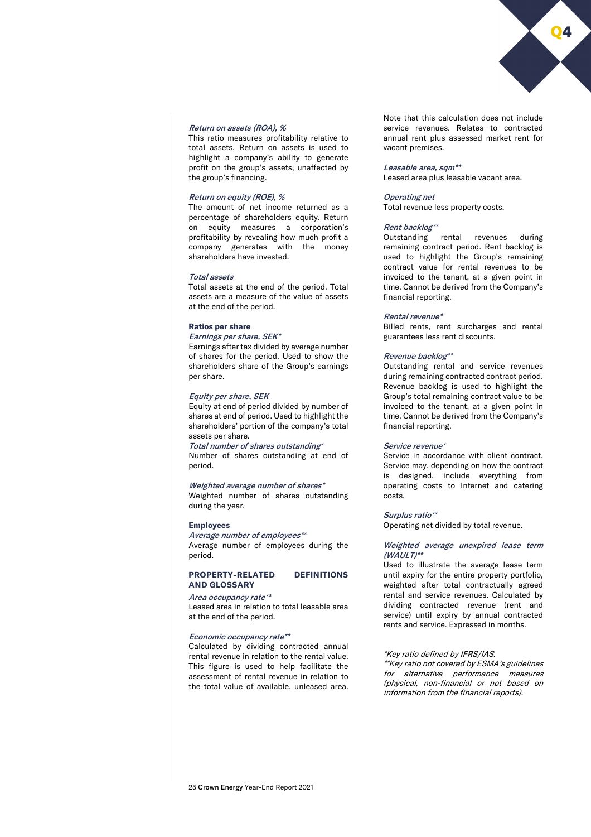#### Return on assets (ROA), %

This ratio measures profitability relative to total assets. Return on assets is used to highlight a company's ability to generate profit on the group's assets, unaffected by the group's financing.

#### Return on equity (ROE), %

The amount of net income returned as a percentage of shareholders equity. Return on equity measures a corporation's profitability by revealing how much profit a company generates with the money shareholders have invested.

# Total assets

Total assets at the end of the period. Total assets are a measure of the value of assets at the end of the period.

#### **Ratios per share**

Earnings per share, SEK\*

Earnings after tax divided by average number of shares for the period. Used to show the shareholders share of the Group's earnings per share.

# Equity per share, SEK

Equity at end of period divided by number of shares at end of period. Used to highlight the shareholders' portion of the company's total assets per share.

Total number of shares outstanding\* Number of shares outstanding at end of period.

## Weighted average number of shares\*

Weighted number of shares outstanding during the year.

#### **Employees**

Average number of employees\*\* Average number of employees during the period.

# **PROPERTY-RELATED DEFINITIONS AND GLOSSARY**

#### Area occupancy rate\*\*

Leased area in relation to total leasable area at the end of the period.

# Economic occupancy rate\*\*

Calculated by dividing contracted annual rental revenue in relation to the rental value. This figure is used to help facilitate the assessment of rental revenue in relation to the total value of available, unleased area.

Note that this calculation does not include service revenues. Relates to contracted annual rent plus assessed market rent for vacant premises.

Q4

## Leasable area, sqm<sup>\*\*</sup>

Leased area plus leasable vacant area.

#### Operating net

Total revenue less property costs.

## Rent backlog\*\*

Outstanding rental revenues during remaining contract period. Rent backlog is used to highlight the Group's remaining contract value for rental revenues to be invoiced to the tenant, at a given point in time. Cannot be derived from the Company's financial reporting.

#### Rental revenue\*

Billed rents, rent surcharges and rental guarantees less rent discounts.

#### Revenue backlog\*\*

Outstanding rental and service revenues during remaining contracted contract period. Revenue backlog is used to highlight the Group's total remaining contract value to be invoiced to the tenant, at a given point in time. Cannot be derived from the Company's financial reporting.

#### Service revenue\*

Service in accordance with client contract. Service may, depending on how the contract is designed, include everything from operating costs to Internet and catering costs.

## Surplus ratio\*\*

Operating net divided by total revenue.

## Weighted average unexpired lease term  $(WAILT)$ \*\*

Used to illustrate the average lease term until expiry for the entire property portfolio, weighted after total contractually agreed rental and service revenues. Calculated by dividing contracted revenue (rent and service) until expiry by annual contracted rents and service. Expressed in months.

# \*Key ratio defined by IFRS/IAS.

\*\*Key ratio not covered by ESMA's guidelines for alternative performance measures (physical, non-financial or not based on information from the financial reports).